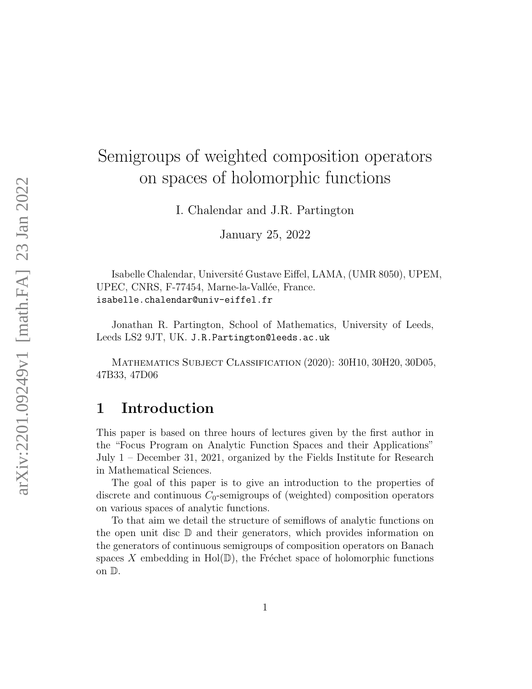# Semigroups of weighted composition operators on spaces of holomorphic functions

I. Chalendar and J.R. Partington

January 25, 2022

Isabelle Chalendar, Université Gustave Eiffel, LAMA, (UMR 8050), UPEM, UPEC, CNRS, F-77454, Marne-la-Vallée, France. isabelle.chalendar@univ-eiffel.fr

Jonathan R. Partington, School of Mathematics, University of Leeds, Leeds LS2 9JT, UK. J.R.Partington@leeds.ac.uk

Mathematics Subject Classification (2020): 30H10, 30H20, 30D05, 47B33, 47D06

## <span id="page-0-0"></span>1 Introduction

This paper is based on three hours of lectures given by the first author in the "Focus Program on Analytic Function Spaces and their Applications" July 1 – December 31, 2021, organized by the Fields Institute for Research in Mathematical Sciences.

The goal of this paper is to give an introduction to the properties of discrete and continuous  $C_0$ -semigroups of (weighted) composition operators on various spaces of analytic functions.

To that aim we detail the structure of semiflows of analytic functions on the open unit disc  $\mathbb D$  and their generators, which provides information on the generators of continuous semigroups of composition operators on Banach spaces X embedding in Hol $(\mathbb{D})$ , the Fréchet space of holomorphic functions on D.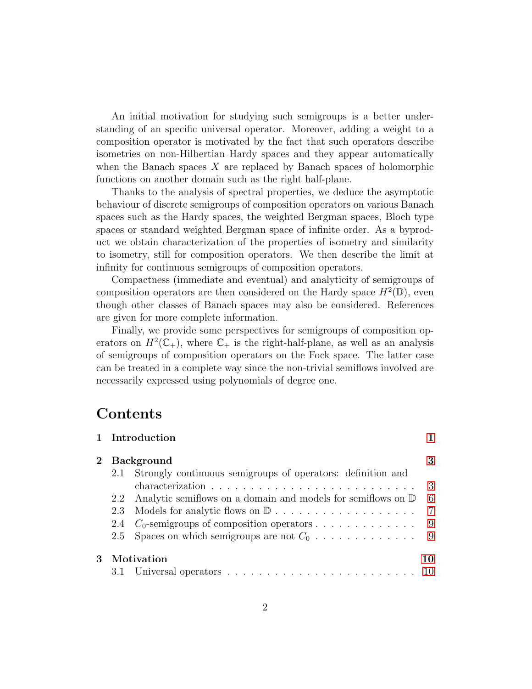An initial motivation for studying such semigroups is a better understanding of an specific universal operator. Moreover, adding a weight to a composition operator is motivated by the fact that such operators describe isometries on non-Hilbertian Hardy spaces and they appear automatically when the Banach spaces  $X$  are replaced by Banach spaces of holomorphic functions on another domain such as the right half-plane.

Thanks to the analysis of spectral properties, we deduce the asymptotic behaviour of discrete semigroups of composition operators on various Banach spaces such as the Hardy spaces, the weighted Bergman spaces, Bloch type spaces or standard weighted Bergman space of infinite order. As a byproduct we obtain characterization of the properties of isometry and similarity to isometry, still for composition operators. We then describe the limit at infinity for continuous semigroups of composition operators.

Compactness (immediate and eventual) and analyticity of semigroups of composition operators are then considered on the Hardy space  $H^2(\mathbb{D})$ , even though other classes of Banach spaces may also be considered. References are given for more complete information.

Finally, we provide some perspectives for semigroups of composition operators on  $H^2(\mathbb{C}_+)$ , where  $\mathbb{C}_+$  is the right-half-plane, as well as an analysis of semigroups of composition operators on the Fock space. The latter case can be treated in a complete way since the non-trivial semiflows involved are necessarily expressed using polynomials of degree one.

### Contents

|                   | 1 Introduction                                                                                     |               |
|-------------------|----------------------------------------------------------------------------------------------------|---------------|
| <b>Background</b> |                                                                                                    |               |
| 2.1               | Strongly continuous semigroups of operators: definition and                                        |               |
|                   | characterization $\ldots \ldots \ldots \ldots \ldots \ldots \ldots \ldots \ldots$                  | $\mathcal{S}$ |
| 2.2               | Analytic semiflows on a domain and models for semiflows on $\mathbb D$                             | 6             |
| 2.3               |                                                                                                    | 7             |
| 2.4               | $C_0$ -semigroups of composition operators                                                         | - 9           |
| 2.5               |                                                                                                    |               |
| Motivation        |                                                                                                    |               |
|                   | 3.1 Universal operators $\ldots \ldots \ldots \ldots \ldots \ldots \ldots \ldots \ldots \ldots 10$ |               |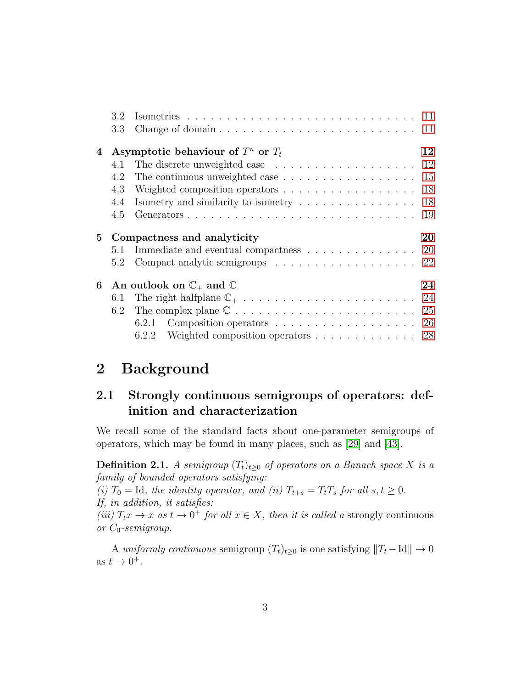|             | 3.2        |                                                                                                                                                                   |    |
|-------------|------------|-------------------------------------------------------------------------------------------------------------------------------------------------------------------|----|
|             | 3.3        |                                                                                                                                                                   |    |
| 4           |            | Asymptotic behaviour of $T^n$ or $T_t$                                                                                                                            | 12 |
|             | 4.1        | The discrete unweighted case $\ldots \ldots \ldots \ldots \ldots \ldots 12$                                                                                       |    |
|             | 4.2        |                                                                                                                                                                   |    |
|             | 4.3        | Weighted composition operators 18                                                                                                                                 |    |
|             | 4.4        | Isometry and similarity to isometry $\dots \dots \dots \dots \dots \dots \dots$ 18                                                                                |    |
|             | 4.5        |                                                                                                                                                                   | 19 |
|             |            |                                                                                                                                                                   |    |
|             |            |                                                                                                                                                                   |    |
| $5^{\circ}$ |            | Compactness and analyticity                                                                                                                                       | 20 |
|             | 5.1<br>5.2 | Immediate and eventual compactness 20<br>Compact analytic semigroups 22                                                                                           |    |
|             |            |                                                                                                                                                                   | 24 |
|             | 6.1        | 6 An outlook on $\mathbb{C}_+$ and $\mathbb{C}$                                                                                                                   |    |
|             |            |                                                                                                                                                                   |    |
|             | 6.2        |                                                                                                                                                                   |    |
|             |            | Composition operators $\dots \dots \dots \dots \dots \dots \dots \dots$ 26<br>6.2.1<br>Weighted composition operators $\dots \dots \dots \dots \dots$ 28<br>6.2.2 |    |

## <span id="page-2-0"></span>2 Background

### <span id="page-2-1"></span>2.1 Strongly continuous semigroups of operators: definition and characterization

We recall some of the standard facts about one-parameter semigroups of operators, which may be found in many places, such as [\[29\]](#page-31-0) and [\[43\]](#page-32-0).

**Definition 2.1.** A semigroup  $(T_t)_{t\geq0}$  of operators on a Banach space X is a family of bounded operators satisfying:

(i)  $T_0 = \text{Id}$ , the identity operator, and (ii)  $T_{t+s} = T_tT_s$  for all  $s, t \geq 0$ . If, in addition, it satisfies:

(iii)  $T_tx \to x$  as  $t \to 0^+$  for all  $x \in X$ , then it is called a strongly continuous or  $C_0$ -semigroup.

A uniformly continuous semigroup  $(T_t)_{t>0}$  is one satisfying  $||T_t -Id|| \to 0$ as  $t \to 0^+$ .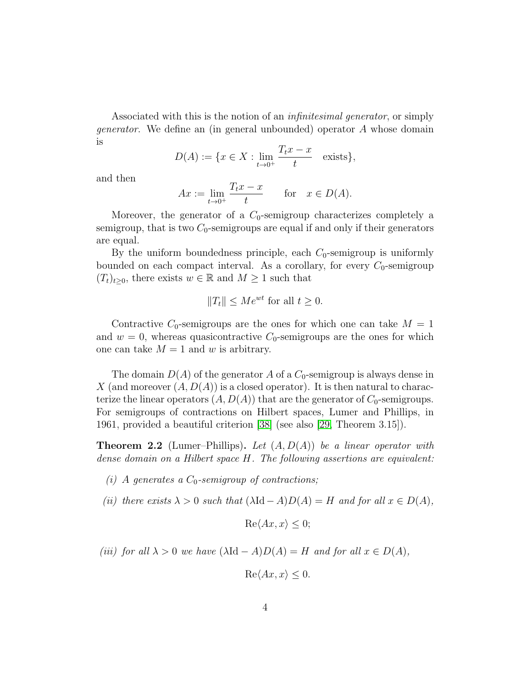Associated with this is the notion of an *infinitesimal generator*, or simply generator. We define an (in general unbounded) operator A whose domain is

$$
D(A) := \{ x \in X : \lim_{t \to 0^+} \frac{T_t x - x}{t} \quad \text{exists} \},
$$

and then

$$
Ax := \lim_{t \to 0^+} \frac{T_t x - x}{t} \quad \text{for} \quad x \in D(A).
$$

Moreover, the generator of a  $C_0$ -semigroup characterizes completely a semigroup, that is two  $C_0$ -semigroups are equal if and only if their generators are equal.

By the uniform boundedness principle, each  $C_0$ -semigroup is uniformly bounded on each compact interval. As a corollary, for every  $C_0$ -semigroup  $(T_t)_{t\geq0}$ , there exists  $w \in \mathbb{R}$  and  $M \geq 1$  such that

$$
||T_t|| \le Me^{wt} \text{ for all } t \ge 0.
$$

Contractive  $C_0$ -semigroups are the ones for which one can take  $M = 1$ and  $w = 0$ , whereas quasicontractive  $C_0$ -semigroups are the ones for which one can take  $M = 1$  and w is arbitrary.

The domain  $D(A)$  of the generator A of a  $C_0$ -semigroup is always dense in X (and moreover  $(A, D(A))$  is a closed operator). It is then natural to characterize the linear operators  $(A, D(A))$  that are the generator of  $C_0$ -semigroups. For semigroups of contractions on Hilbert spaces, Lumer and Phillips, in 1961, provided a beautiful criterion [\[38\]](#page-32-1) (see also [\[29,](#page-31-0) Theorem 3.15]).

**Theorem 2.2** (Lumer–Phillips). Let  $(A, D(A))$  be a linear operator with dense domain on a Hilbert space H. The following assertions are equivalent:

- (i) A generates a  $C_0$ -semigroup of contractions;
- (ii) there exists  $\lambda > 0$  such that  $(\lambda \text{Id} A)D(A) = H$  and for all  $x \in D(A)$ ,

$$
\operatorname{Re}\langle Ax, x \rangle \le 0;
$$

(iii) for all  $\lambda > 0$  we have  $(\lambda \mathrm{Id} - A)D(A) = H$  and for all  $x \in D(A)$ ,

$$
\operatorname{Re}\langle Ax, x \rangle \le 0.
$$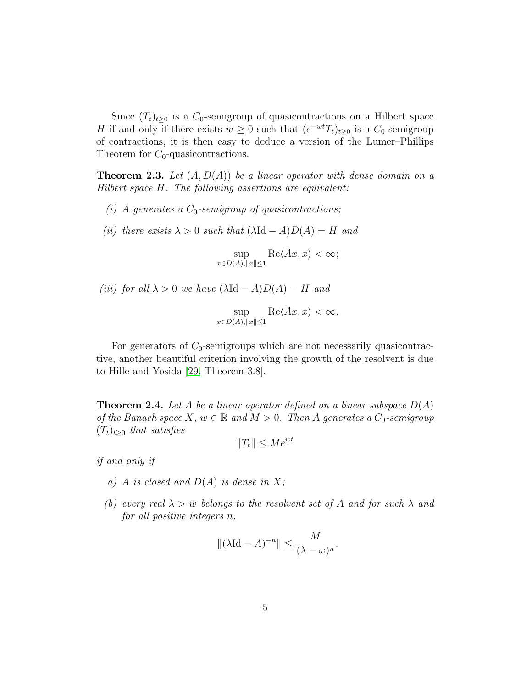Since  $(T_t)_{t>0}$  is a  $C_0$ -semigroup of quasicontractions on a Hilbert space H if and only if there exists  $w \geq 0$  such that  $(e^{-wt}T_t)_{t\geq 0}$  is a  $C_0$ -semigroup of contractions, it is then easy to deduce a version of the Lumer–Phillips Theorem for  $C_0$ -quasicontractions.

**Theorem 2.3.** Let  $(A, D(A))$  be a linear operator with dense domain on a Hilbert space H. The following assertions are equivalent:

- (i) A generates a  $C_0$ -semigroup of quasicontractions;
- (ii) there exists  $\lambda > 0$  such that  $(\lambda \mathrm{Id} A)D(A) = H$  and

sup  $x \in D(A), ||x|| \leq 1$  $\text{Re}\langle Ax, x\rangle < \infty;$ 

(iii) for all  $\lambda > 0$  we have  $(\lambda \mathrm{Id} - A)D(A) = H$  and

$$
\sup_{x \in D(A), \|x\| \le 1} \text{Re}\langle Ax, x \rangle < \infty.
$$

For generators of  $C_0$ -semigroups which are not necessarily quasicontractive, another beautiful criterion involving the growth of the resolvent is due to Hille and Yosida [\[29,](#page-31-0) Theorem 3.8].

**Theorem 2.4.** Let A be a linear operator defined on a linear subspace  $D(A)$ of the Banach space X,  $w \in \mathbb{R}$  and  $M > 0$ . Then A generates a  $C_0$ -semigroup  $(T_t)_{t>0}$  that satisfies

 $||T_t|| < Me^{wt}$ 

if and only if

- a) A is closed and  $D(A)$  is dense in X;
- (b) every real  $\lambda > w$  belongs to the resolvent set of A and for such  $\lambda$  and for all positive integers n,

$$
\|(\lambda \mathrm{Id} - A)^{-n}\| \le \frac{M}{(\lambda - \omega)^n}.
$$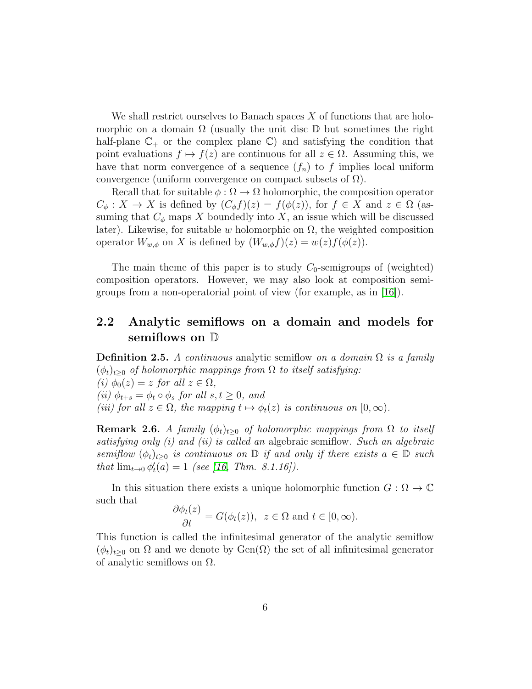We shall restrict ourselves to Banach spaces  $X$  of functions that are holomorphic on a domain  $\Omega$  (usually the unit disc  $\mathbb D$  but sometimes the right half-plane  $\mathbb{C}_+$  or the complex plane  $\mathbb{C}$ ) and satisfying the condition that point evaluations  $f \mapsto f(z)$  are continuous for all  $z \in \Omega$ . Assuming this, we have that norm convergence of a sequence  $(f_n)$  to f implies local uniform convergence (uniform convergence on compact subsets of  $\Omega$ ).

Recall that for suitable  $\phi : \Omega \to \Omega$  holomorphic, the composition operator  $C_{\phi}: X \to X$  is defined by  $(C_{\phi}f)(z) = f(\phi(z))$ , for  $f \in X$  and  $z \in \Omega$  (assuming that  $C_{\phi}$  maps X boundedly into X, an issue which will be discussed later). Likewise, for suitable w holomorphic on  $\Omega$ , the weighted composition operator  $W_{w,\phi}$  on X is defined by  $(W_{w,\phi}f)(z) = w(z)f(\phi(z)).$ 

The main theme of this paper is to study  $C_0$ -semigroups of (weighted) composition operators. However, we may also look at composition semigroups from a non-operatorial point of view (for example, as in [\[16\]](#page-30-0)).

### <span id="page-5-0"></span>2.2 Analytic semiflows on a domain and models for semiflows on  $D$

**Definition 2.5.** A continuous analytic semiflow on a domain  $\Omega$  is a family  $(\phi_t)_{t\geq0}$  of holomorphic mappings from  $\Omega$  to itself satisfying:

(i)  $\phi_0(z) = z$  for all  $z \in \Omega$ ,

(ii)  $\phi_{t+s} = \phi_t \circ \phi_s$  for all  $s, t \geq 0$ , and

(iii) for all  $z \in \Omega$ , the mapping  $t \mapsto \phi_t(z)$  is continuous on  $[0,\infty)$ .

**Remark 2.6.** A family  $(\phi_t)_{t\geq 0}$  of holomorphic mappings from  $\Omega$  to itself satisfying only  $(i)$  and  $(ii)$  is called an algebraic semiflow. Such an algebraic semiflow  $(\phi_t)_{t\geq 0}$  is continuous on  $\mathbb D$  if and only if there exists  $a \in \mathbb D$  such that  $\lim_{t\to 0} \phi'_t(a) = 1$  (see [\[16,](#page-30-0) Thm. 8.1.16]).

In this situation there exists a unique holomorphic function  $G : \Omega \to \mathbb{C}$ such that

$$
\frac{\partial \phi_t(z)}{\partial t} = G(\phi_t(z)), \ z \in \Omega \text{ and } t \in [0, \infty).
$$

This function is called the infinitesimal generator of the analytic semiflow  $(\phi_t)_{t>0}$  on  $\Omega$  and we denote by Gen $(\Omega)$  the set of all infinitesimal generator of analytic semiflows on Ω.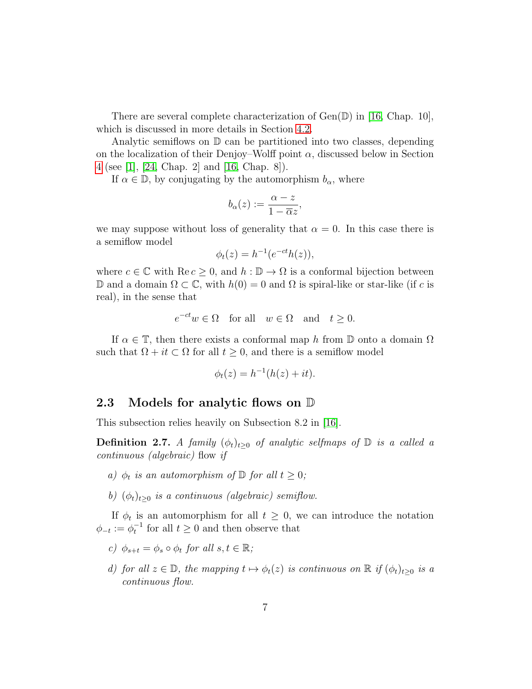There are several complete characterization of  $Gen(\mathbb{D})$  in [\[16,](#page-30-0) Chap. 10], which is discussed in more details in Section [4.2.](#page-14-0)

Analytic semiflows on  $\mathbb D$  can be partitioned into two classes, depending on the localization of their Denjoy–Wolff point  $\alpha$ , discussed below in Section [4](#page-11-0) (see [\[1\]](#page-29-0), [\[24,](#page-31-1) Chap. 2] and [\[16,](#page-30-0) Chap. 8]).

If  $\alpha \in \mathbb{D}$ , by conjugating by the automorphism  $b_{\alpha}$ , where

$$
b_{\alpha}(z) := \frac{\alpha - z}{1 - \overline{\alpha}z},
$$

we may suppose without loss of generality that  $\alpha = 0$ . In this case there is a semiflow model

$$
\phi_t(z) = h^{-1}(e^{-ct}h(z)),
$$

where  $c \in \mathbb{C}$  with  $\text{Re } c \geq 0$ , and  $h : \mathbb{D} \to \Omega$  is a conformal bijection between D and a domain Ω ⊂ ℂ, with  $h(0) = 0$  and Ω is spiral-like or star-like (if c is real), in the sense that

$$
e^{-ct}w \in \Omega \quad \text{for all} \quad w \in \Omega \quad \text{and} \quad t \ge 0.
$$

If  $\alpha \in \mathbb{T}$ , then there exists a conformal map h from  $\mathbb D$  onto a domain  $\Omega$ such that  $\Omega + it \subset \Omega$  for all  $t \geq 0$ , and there is a semiflow model

$$
\phi_t(z) = h^{-1}(h(z) + it).
$$

#### <span id="page-6-0"></span>2.3 Models for analytic flows on  $\mathbb D$

This subsection relies heavily on Subsection 8.2 in [\[16\]](#page-30-0).

**Definition 2.7.** A family  $(\phi_t)_{t\geq 0}$  of analytic selfmaps of  $\mathbb D$  is a called a continuous (algebraic) flow if

- a)  $\phi_t$  is an automorphism of  $\mathbb D$  for all  $t \geq 0$ ;
- b)  $(\phi_t)_{t\geq0}$  is a continuous (algebraic) semiflow.

If  $\phi_t$  is an automorphism for all  $t \geq 0$ , we can introduce the notation  $\phi_{-t} := \phi_t^{-1}$  for all  $t \geq 0$  and then observe that

- c)  $\phi_{s+t} = \phi_s \circ \phi_t$  for all  $s, t \in \mathbb{R}$ ;
- d) for all  $z \in \mathbb{D}$ , the mapping  $t \mapsto \phi_t(z)$  is continuous on  $\mathbb{R}$  if  $(\phi_t)_{t>0}$  is a continuous flow.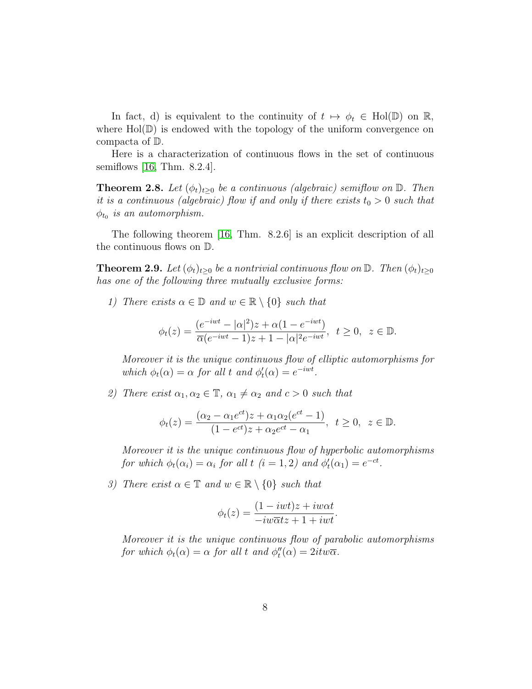In fact, d) is equivalent to the continuity of  $t \mapsto \phi_t \in Hol(D)$  on R, where  $Hol(\mathbb{D})$  is endowed with the topology of the uniform convergence on compacta of D.

Here is a characterization of continuous flows in the set of continuous semiflows [\[16,](#page-30-0) Thm. 8.2.4].

**Theorem 2.8.** Let  $(\phi_t)_{t\geq0}$  be a continuous (algebraic) semiflow on  $\mathbb{D}$ . Then it is a continuous (algebraic) flow if and only if there exists  $t_0 > 0$  such that  $\phi_{t_0}$  is an automorphism.

The following theorem [\[16,](#page-30-0) Thm. 8.2.6] is an explicit description of all the continuous flows on D.

**Theorem 2.9.** Let  $(\phi_t)_{t\geq 0}$  be a nontrivial continuous flow on  $\mathbb{D}$ . Then  $(\phi_t)_{t\geq 0}$ has one of the following three mutually exclusive forms:

1) There exists  $\alpha \in \mathbb{D}$  and  $w \in \mathbb{R} \setminus \{0\}$  such that

$$
\phi_t(z) = \frac{(e^{-iwt} - |\alpha|^2)z + \alpha(1 - e^{-iwt})}{\overline{\alpha}(e^{-iwt} - 1)z + 1 - |\alpha|^2 e^{-iwt}}, \quad t \ge 0, \quad z \in \mathbb{D}.
$$

Moreover it is the unique continuous flow of elliptic automorphisms for which  $\phi_t(\alpha) = \alpha$  for all t and  $\phi'_t(\alpha) = e^{-iwt}$ .

2) There exist  $\alpha_1, \alpha_2 \in \mathbb{T}$ ,  $\alpha_1 \neq \alpha_2$  and  $c > 0$  such that

$$
\phi_t(z) = \frac{(\alpha_2 - \alpha_1 e^{ct})z + \alpha_1 \alpha_2 (e^{ct} - 1)}{(1 - e^{ct})z + \alpha_2 e^{ct} - \alpha_1}, \ t \ge 0, \ z \in \mathbb{D}.
$$

Moreover it is the unique continuous flow of hyperbolic automorphisms for which  $\phi_t(\alpha_i) = \alpha_i$  for all  $t$   $(i = 1, 2)$  and  $\phi'_t(\alpha_1) = e^{-ct}$ .

3) There exist  $\alpha \in \mathbb{T}$  and  $w \in \mathbb{R} \setminus \{0\}$  such that

$$
\phi_t(z) = \frac{(1 - iwt)z + i w\alpha t}{-i w\overline{\alpha}tz + 1 + iwt}.
$$

Moreover it is the unique continuous flow of parabolic automorphisms for which  $\phi_t(\alpha) = \alpha$  for all t and  $\phi_t''(\alpha) = 2it\omega\overline{\alpha}$ .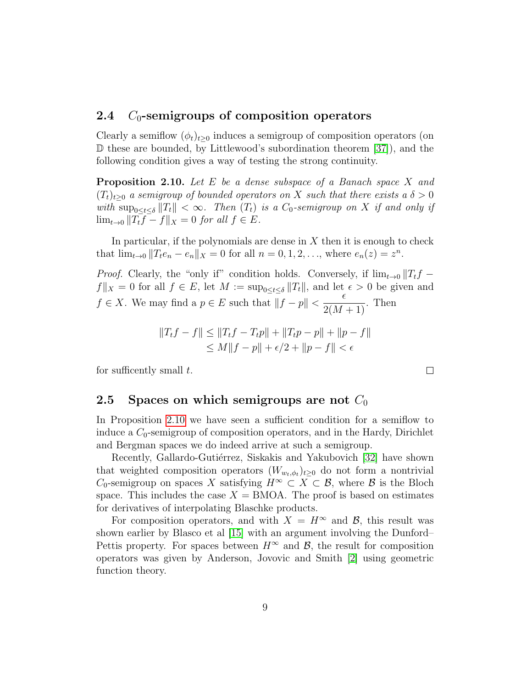#### <span id="page-8-0"></span>2.4  $C_0$ -semigroups of composition operators

Clearly a semiflow  $(\phi_t)_{t>0}$  induces a semigroup of composition operators (on  $\mathbb D$  these are bounded, by Littlewood's subordination theorem [\[37\]](#page-32-2), and the following condition gives a way of testing the strong continuity.

<span id="page-8-2"></span>Proposition 2.10. Let E be a dense subspace of a Banach space X and  $(T_t)_{t>0}$  a semigroup of bounded operators on X such that there exists a  $\delta > 0$ with  $\sup_{0 \le t \le \delta} ||T_t|| < \infty$ . Then  $(T_t)$  is a  $C_0$ -semigroup on X if and only if  $\lim_{t\to 0} ||T_t\overline{f} - f||_X = 0$  for all  $f \in E$ .

In particular, if the polynomials are dense in  $X$  then it is enough to check that  $\lim_{t \to 0} ||T_t e_n - e_n||_X = 0$  for all  $n = 0, 1, 2, \dots$ , where  $e_n(z) = z^n$ .

*Proof.* Clearly, the "only if" condition holds. Conversely, if  $\lim_{t\to 0} ||T_tf$  $f\|_X = 0$  for all  $f \in E$ , let  $M := \sup_{0 \le t \le \delta} ||T_t||$ , and let  $\epsilon > 0$  be given and  $f \in X$ . We may find a  $p \in E$  such that  $||f - p|| < \frac{\epsilon}{2\epsilon}$  $\frac{c}{2(M+1)}$ . Then

$$
||T_t f - f|| \le ||T_t f - T_t p|| + ||T_t p - p|| + ||p - f||
$$
  
\n
$$
\le M||f - p|| + \epsilon/2 + ||p - f|| < \epsilon
$$

for sufficently small  $t$ .

#### <span id="page-8-1"></span>2.5 Spaces on which semigroups are not  $C_0$

In Proposition [2.10](#page-8-2) we have seen a sufficient condition for a semiflow to induce a  $C_0$ -semigroup of composition operators, and in the Hardy, Dirichlet and Bergman spaces we do indeed arrive at such a semigroup.

Recently, Gallardo-Gutiérrez, Siskakis and Yakubovich [\[32\]](#page-31-2) have shown that weighted composition operators  $(W_{w_t,\phi_t})_{t\geq 0}$  do not form a nontrivial C<sub>0</sub>-semigroup on spaces X satisfying  $H^{\infty} \subset X \subset \mathcal{B}$ , where  $\mathcal{B}$  is the Bloch space. This includes the case  $X = BMOA$ . The proof is based on estimates for derivatives of interpolating Blaschke products.

For composition operators, and with  $X = H^{\infty}$  and  $\mathcal{B}$ , this result was shown earlier by Blasco et al [\[15\]](#page-30-1) with an argument involving the Dunford– Pettis property. For spaces between  $H^{\infty}$  and  $\mathcal{B}$ , the result for composition operators was given by Anderson, Jovovic and Smith [\[2\]](#page-29-1) using geometric function theory.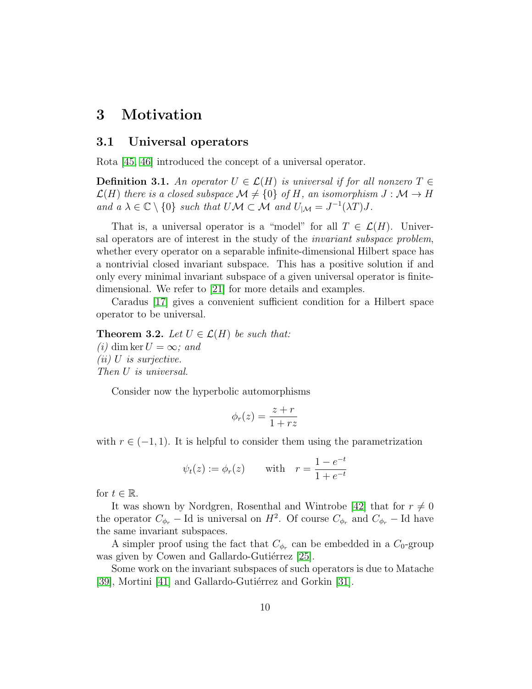### <span id="page-9-0"></span>3 Motivation

#### <span id="page-9-1"></span>3.1 Universal operators

Rota [\[45,](#page-32-3) [46\]](#page-33-0) introduced the concept of a universal operator.

**Definition 3.1.** An operator  $U \in \mathcal{L}(H)$  is universal if for all nonzero  $T \in$  $\mathcal{L}(H)$  there is a closed subspace  $\mathcal{M} \neq \{0\}$  of H, an isomorphism  $J : \mathcal{M} \to H$ and  $a \lambda \in \mathbb{C} \setminus \{0\}$  such that  $U \mathcal{M} \subset \mathcal{M}$  and  $U_{|\mathcal{M}} = J^{-1}(\lambda T)J$ .

That is, a universal operator is a "model" for all  $T \in \mathcal{L}(H)$ . Universal operators are of interest in the study of the invariant subspace problem, whether every operator on a separable infinite-dimensional Hilbert space has a nontrivial closed invariant subspace. This has a positive solution if and only every minimal invariant subspace of a given universal operator is finitedimensional. We refer to [\[21\]](#page-30-2) for more details and examples.

Caradus [\[17\]](#page-30-3) gives a convenient sufficient condition for a Hilbert space operator to be universal.

**Theorem 3.2.** Let  $U \in \mathcal{L}(H)$  be such that: (i) dim ker  $U = \infty$ ; and  $(ii)$  U is surjective. Then U is universal.

Consider now the hyperbolic automorphisms

$$
\phi_r(z) = \frac{z+r}{1+rz}
$$

with  $r \in (-1, 1)$ . It is helpful to consider them using the parametrization

$$
\psi_t(z) := \phi_r(z)
$$
 with  $r = \frac{1 - e^{-t}}{1 + e^{-t}}$ 

for  $t \in \mathbb{R}$ .

It was shown by Nordgren, Rosenthal and Wintrobe [\[42\]](#page-32-4) that for  $r \neq 0$ the operator  $C_{\phi_r}$  – Id is universal on  $H^2$ . Of course  $C_{\phi_r}$  and  $C_{\phi_r}$  – Id have the same invariant subspaces.

A simpler proof using the fact that  $C_{\phi_r}$  can be embedded in a  $C_0$ -group was given by Cowen and Gallardo-Gutiérrez [\[25\]](#page-31-3).

Some work on the invariant subspaces of such operators is due to Matache [\[39\]](#page-32-5), Mortini [\[41\]](#page-32-6) and Gallardo-Gutiérrez and Gorkin [\[31\]](#page-31-4).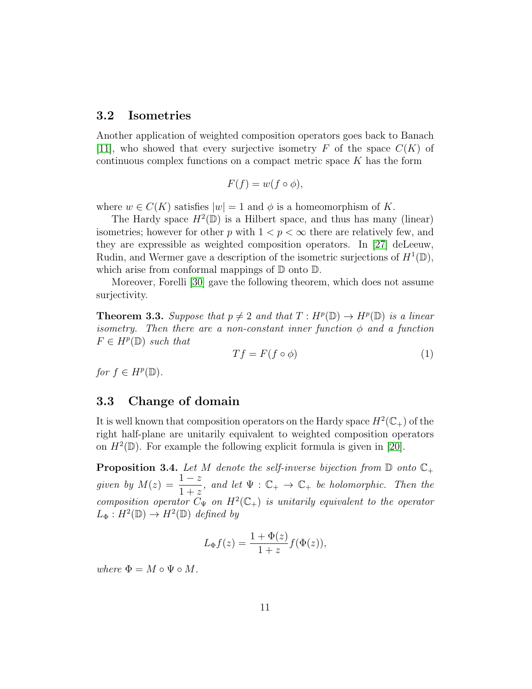#### <span id="page-10-0"></span>3.2 Isometries

Another application of weighted composition operators goes back to Banach [\[11\]](#page-30-4), who showed that every surjective isometry F of the space  $C(K)$  of continuous complex functions on a compact metric space  $K$  has the form

$$
F(f) = w(f \circ \phi),
$$

where  $w \in C(K)$  satisfies  $|w| = 1$  and  $\phi$  is a homeomorphism of K.

The Hardy space  $H^2(\mathbb{D})$  is a Hilbert space, and thus has many (linear) isometries; however for other p with  $1 < p < \infty$  there are relatively few, and they are expressible as weighted composition operators. In [\[27\]](#page-31-5) deLeeuw, Rudin, and Wermer gave a description of the isometric surjections of  $H^1(\mathbb{D})$ , which arise from conformal mappings of  $\mathbb D$  onto  $\mathbb D$ .

Moreover, Forelli [\[30\]](#page-31-6) gave the following theorem, which does not assume surjectivity.

**Theorem 3.3.** Suppose that  $p \neq 2$  and that  $T : H^p(\mathbb{D}) \to H^p(\mathbb{D})$  is a linear isometry. Then there are a non-constant inner function  $\phi$  and a function  $F \in H^p(\mathbb{D})$  such that

$$
Tf = F(f \circ \phi) \tag{1}
$$

for  $f \in H^p(\mathbb{D})$ .

#### <span id="page-10-1"></span>3.3 Change of domain

It is well known that composition operators on the Hardy space  $H^2(\mathbb{C}_+)$  of the right half-plane are unitarily equivalent to weighted composition operators on  $H^2(\mathbb{D})$ . For example the following explicit formula is given in [\[20\]](#page-30-5).

**Proposition 3.4.** Let M denote the self-inverse bijection from  $\mathbb{D}$  onto  $\mathbb{C}_+$ given by  $M(z) = \frac{1-z}{1+z}$  $\frac{1-z}{1+z}$ , and let  $\Psi : \mathbb{C}_+ \to \mathbb{C}_+$  be holomorphic. Then the composition operator  $C_{\Psi}$  on  $H^2(\mathbb{C}_+)$  is unitarily equivalent to the operator  $L_{\Phi}: H^2(\mathbb{D}) \to H^2(\mathbb{D})$  defined by

$$
L_{\Phi}f(z) = \frac{1 + \Phi(z)}{1 + z} f(\Phi(z)),
$$

where  $\Phi = M \circ \Psi \circ M$ .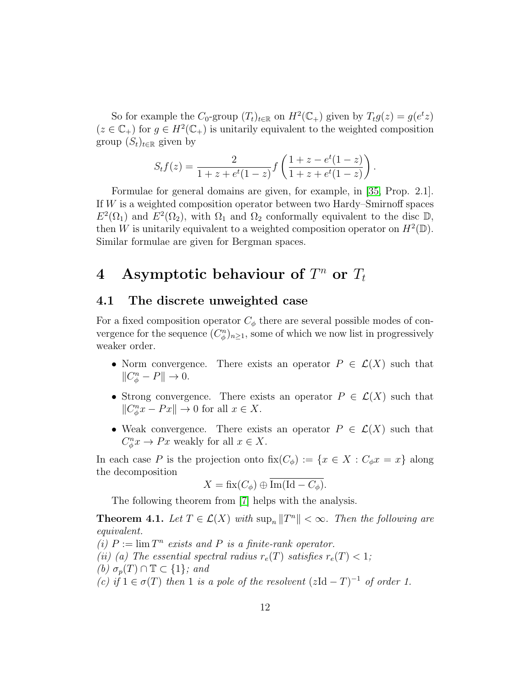So for example the  $C_0$ -group  $(T_t)_{t \in \mathbb{R}}$  on  $H^2(\mathbb{C}_+)$  given by  $T_t g(z) = g(e^t z)$  $(z \in \mathbb{C}_{+})$  for  $g \in H^{2}(\mathbb{C}_{+})$  is unitarily equivalent to the weighted composition group  $(S_t)_{t \in \mathbb{R}}$  given by

$$
S_t f(z) = \frac{2}{1 + z + e^t (1 - z)} f\left(\frac{1 + z - e^t (1 - z)}{1 + z + e^t (1 - z)}\right).
$$

Formulae for general domains are given, for example, in [\[35,](#page-32-7) Prop. 2.1]. If W is a weighted composition operator between two Hardy–Smirnoff spaces  $E^2(\Omega_1)$  and  $E^2(\Omega_2)$ , with  $\Omega_1$  and  $\Omega_2$  conformally equivalent to the disc  $\mathbb{D}$ , then W is unitarily equivalent to a weighted composition operator on  $H^2(\mathbb{D})$ . Similar formulae are given for Bergman spaces.

# <span id="page-11-0"></span>4 Asymptotic behaviour of  $T^n$  or  $T_t$

#### <span id="page-11-1"></span>4.1 The discrete unweighted case

For a fixed composition operator  $C_{\phi}$  there are several possible modes of convergence for the sequence  $(C_{\phi}^n)_{n\geq 1}$ , some of which we now list in progressively weaker order.

- Norm convergence. There exists an operator  $P \in \mathcal{L}(X)$  such that  $||C_{\phi}^n - P|| \to 0.$
- Strong convergence. There exists an operator  $P \in \mathcal{L}(X)$  such that  $||C_{\phi}^n x - Px|| \to 0$  for all  $x \in X$ .
- Weak convergence. There exists an operator  $P \in \mathcal{L}(X)$  such that  $C_{\phi}^n x \to Px$  weakly for all  $x \in X$ .

In each case P is the projection onto  $fix(C_{\phi}) := \{x \in X : C_{\phi}x = x\}$  along the decomposition

$$
X = \text{fix}(C_{\phi}) \oplus \overline{\text{Im}(\text{Id} - C_{\phi})}.
$$

The following theorem from [\[7\]](#page-29-2) helps with the analysis.

<span id="page-11-2"></span>**Theorem 4.1.** Let  $T \in \mathcal{L}(X)$  with  $\sup_n ||T^n|| < \infty$ . Then the following are equivalent.

(i)  $P := \lim T^n$  exists and P is a finite-rank operator. (ii) (a) The essential spectral radius  $r_e(T)$  satisfies  $r_e(T) < 1$ ; (b)  $\sigma_p(T) \cap \mathbb{T} \subset \{1\}$ ; and (c) if  $1 \in \sigma(T)$  then 1 is a pole of the resolvent  $(zId - T)^{-1}$  of order 1.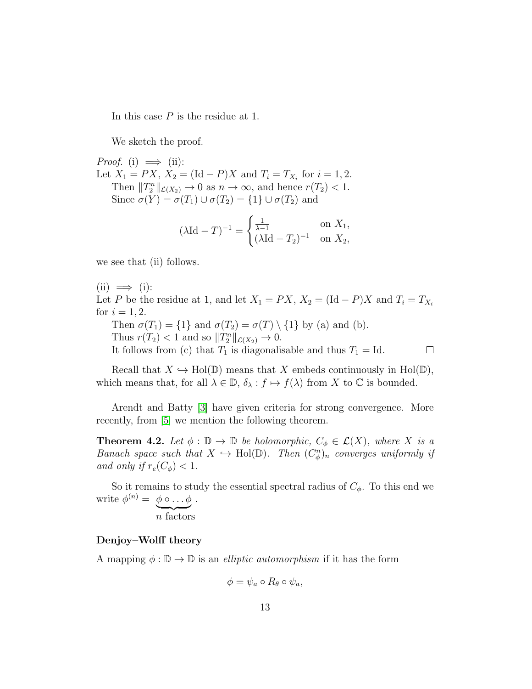In this case P is the residue at 1.

We sketch the proof.

*Proof.* (i)  $\implies$  (ii): Let  $X_1 = PX$ ,  $X_2 = (\text{Id} - P)X$  and  $T_i = T_{X_i}$  for  $i = 1, 2$ . Then  $||T_2^n||_{\mathcal{L}(X_2)} \to 0$  as  $n \to \infty$ , and hence  $r(T_2) < 1$ . Since  $\sigma(Y) = \sigma(T_1) \cup \sigma(T_2) = \{1\} \cup \sigma(T_2)$  and

$$
(\lambda \text{Id} - T)^{-1} = \begin{cases} \frac{1}{\lambda - 1} & \text{on } X_1, \\ (\lambda \text{Id} - T_2)^{-1} & \text{on } X_2, \end{cases}
$$

we see that (ii) follows.

 $(ii) \implies (i):$ 

Let P be the residue at 1, and let  $X_1 = PX$ ,  $X_2 = (\text{Id} - P)X$  and  $T_i = T_{X_i}$ for  $i = 1, 2$ .

Then  $\sigma(T_1) = \{1\}$  and  $\sigma(T_2) = \sigma(T) \setminus \{1\}$  by (a) and (b). Thus  $r(T_2) < 1$  and so  $||T_2^n||_{\mathcal{L}(X_2)} \to 0$ .

It follows from (c) that  $T_1$  is diagonalisable and thus  $T_1 = Id$ .

$$
\qquad \qquad \Box
$$

Recall that  $X \hookrightarrow Hol(\mathbb{D})$  means that X embeds continuously in Hol( $\mathbb{D}$ ), which means that, for all  $\lambda \in \mathbb{D}$ ,  $\delta_{\lambda} : f \mapsto f(\lambda)$  from X to  $\mathbb C$  is bounded.

Arendt and Batty [\[3\]](#page-29-3) have given criteria for strong convergence. More recently, from [\[5\]](#page-29-4) we mention the following theorem.

**Theorem 4.2.** Let  $\phi : \mathbb{D} \to \mathbb{D}$  be holomorphic,  $C_{\phi} \in \mathcal{L}(X)$ , where X is a Banach space such that  $X \hookrightarrow Hol(D)$ . Then  $(C_{\phi}^{n})_{n}$  converges uniformly if and only if  $r_e(C_\phi) < 1$ .

So it remains to study the essential spectral radius of  $C_{\phi}$ . To this end we write  $\phi^{(n)} = \phi \circ \dots \phi$ .

 $\overline{n}$  factors

#### <span id="page-12-0"></span>Denjoy–Wolff theory

A mapping  $\phi : \mathbb{D} \to \mathbb{D}$  is an *elliptic automorphism* if it has the form

$$
\phi = \psi_a \circ R_{\theta} \circ \psi_a,
$$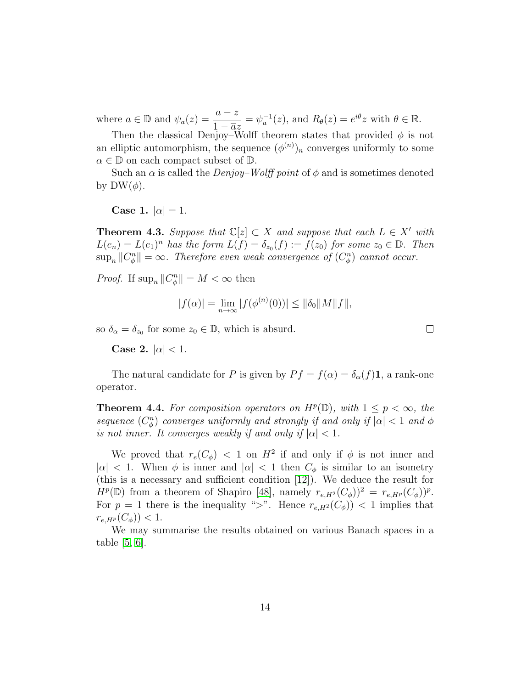where  $a \in \mathbb{D}$  and  $\psi_a(z) = \frac{a-z}{1-\overline{a}z}$  $=\psi_a^{-1}(z)$ , and  $R_\theta(z) = e^{i\theta}z$  with  $\theta \in \mathbb{R}$ .

Then the classical Denjoy–Wolff theorem states that provided  $\phi$  is not an elliptic automorphism, the sequence  $(\phi^{(n)})_n$  converges uniformly to some  $\alpha \in \mathbb{D}$  on each compact subset of  $\mathbb{D}$ .

Such an  $\alpha$  is called the *Denjoy–Wolff point* of  $\phi$  and is sometimes denoted by  $DW(\phi)$ .

Case 1.  $|\alpha|=1$ .

**Theorem 4.3.** Suppose that  $\mathbb{C}[z] \subset X$  and suppose that each  $L \in X'$  with  $L(e_n) = L(e_1)^n$  has the form  $L(f) = \delta_{z_0}(f) := f(z_0)$  for some  $z_0 \in \mathbb{D}$ . Then  $\sup_n ||C_{\phi}^n|| = \infty$ . Therefore even weak convergence of  $(C_{\phi}^n)$  cannot occur.

*Proof.* If  $\sup_n ||C_{\phi}^n|| = M < \infty$  then

$$
|f(\alpha)| = \lim_{n \to \infty} |f(\phi^{(n)}(0))| \le ||\delta_0||M||f||,
$$

 $\Box$ 

so  $\delta_{\alpha} = \delta_{z_0}$  for some  $z_0 \in \mathbb{D}$ , which is absurd.

Case 2.  $|\alpha|$  < 1.

The natural candidate for P is given by  $P f = f(\alpha) = \delta_{\alpha}(f) \mathbf{1}$ , a rank-one operator.

**Theorem 4.4.** For composition operators on  $H^p(\mathbb{D})$ , with  $1 \leq p < \infty$ , the sequence  $(C_{\phi}^{n})$  converges uniformly and strongly if and only if  $|\alpha| < 1$  and  $\phi$ is not inner. It converges weakly if and only if  $|\alpha| < 1$ .

We proved that  $r_e(C_\phi) < 1$  on  $H^2$  if and only if  $\phi$  is not inner and  $|\alpha|$  < 1. When  $\phi$  is inner and  $|\alpha|$  < 1 then  $C_{\phi}$  is similar to an isometry (this is a necessary and sufficient condition [\[12\]](#page-30-6)). We deduce the result for  $H^p(\mathbb{D})$  from a theorem of Shapiro [\[48\]](#page-33-1), namely  $r_{e,H^2}(C_{\phi})^2 = r_{e,H^p}(C_{\phi})^p$ . For  $p = 1$  there is the inequality ">". Hence  $r_{e,H^2}(C_{\phi})$  < 1 implies that  $r_{e,HP}(C_{\phi})$  < 1.

We may summarise the results obtained on various Banach spaces in a table [\[5,](#page-29-4) [6\]](#page-29-5).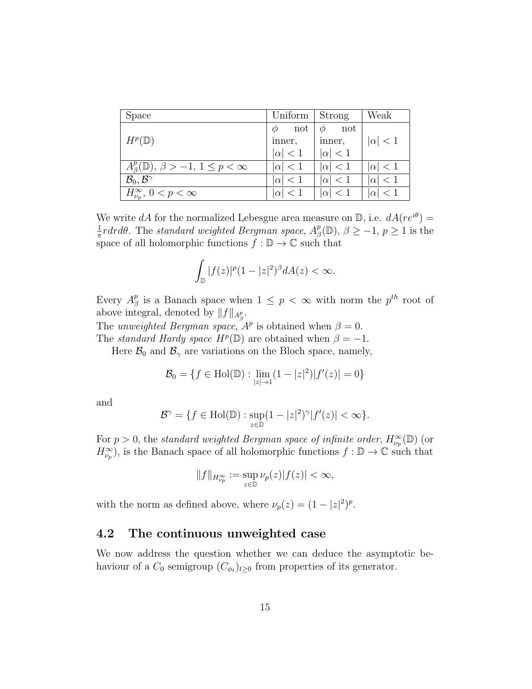| Space                                                    | Uniform        | Strong             | Weak           |
|----------------------------------------------------------|----------------|--------------------|----------------|
| $H^p(\mathbb{D})$                                        | not<br>inner,  | not<br>Φ<br>inner, | $ \alpha  < 1$ |
|                                                          | $ \alpha  < 1$ | $ \alpha $ < 1     |                |
| $A_{\beta}^p(\mathbb{D}), \beta > -1, 1 \leq p < \infty$ | $ \alpha  < 1$ | $ \alpha  < 1$     | $ \alpha  < 1$ |
| $\mathcal{B}_0, \mathcal{B}^{\gamma}$                    | $ \alpha  < 1$ | $ \alpha  < 1$     | $ \alpha  < 1$ |
| $H_{\nu_p}^{\infty}$ , $0 < p < \infty$                  | $ \alpha $     | $ \alpha  < 1$     | $ \alpha  < 1$ |

We write dA for the normalized Lebesgue area measure on  $\mathbb{D}$ , i.e.  $dA(re^{i\theta})=$ 1  $\frac{1}{\pi}$ rdrd $\theta$ . The standard weighted Bergman space,  $A^p_\beta$  $p_{\beta}^p(\mathbb{D}), \beta \geq -1, p \geq 1$  is the space of all holomorphic functions  $f : \mathbb{D} \to \mathbb{C}$  such that

$$
\int_{\mathbb{D}}|f(z)|^{p}(1-|z|^{2})^{\beta}dA(z)<\infty.
$$

Every  $A^p_\beta$  $\frac{p}{\beta}$  is a Banach space when  $1 \leq p < \infty$  with norm the  $p^{th}$  root of above integral, denoted by  $||f||_{A_{\beta}^p}$ .

The unweighted Bergman space,  $A^p$  is obtained when  $\beta = 0$ .

The standard Hardy space  $H^p(\mathbb{D})$  are obtained when  $\beta = -1$ .

Here  $\mathcal{B}_0$  and  $\mathcal{B}_\gamma$  are variations on the Bloch space, namely,

$$
\mathcal{B}_0 = \{ f \in Hol(\mathbb{D}) : \lim_{|z| \to 1} (1 - |z|^2) |f'(z)| = 0 \}
$$

and

$$
\mathcal{B}^{\gamma} = \{ f \in Hol(\mathbb{D}) : \sup_{z \in \mathbb{D}} (1 - |z|^2)^{\gamma} |f'(z)| < \infty \}.
$$

For  $p > 0$ , the standard weighted Bergman space of infinite order,  $H_{\nu_p}^{\infty}(\mathbb{D})$  (or  $H_{\nu_p}^{\infty}$ , is the Banach space of all holomorphic functions  $f : \mathbb{D} \to \mathbb{C}$  such that

$$
\|f\|_{H^\infty_{\nu_p}}:=\sup_{z\in\mathbb{D}}\nu_p(z)|f(z)|<\infty,
$$

with the norm as defined above, where  $\nu_p(z) = (1 - |z|^2)^p$ .

#### <span id="page-14-0"></span>4.2 The continuous unweighted case

We now address the question whether we can deduce the asymptotic behaviour of a  $C_0$  semigroup  $(C_{\phi_t})_{t\geq 0}$  from properties of its generator.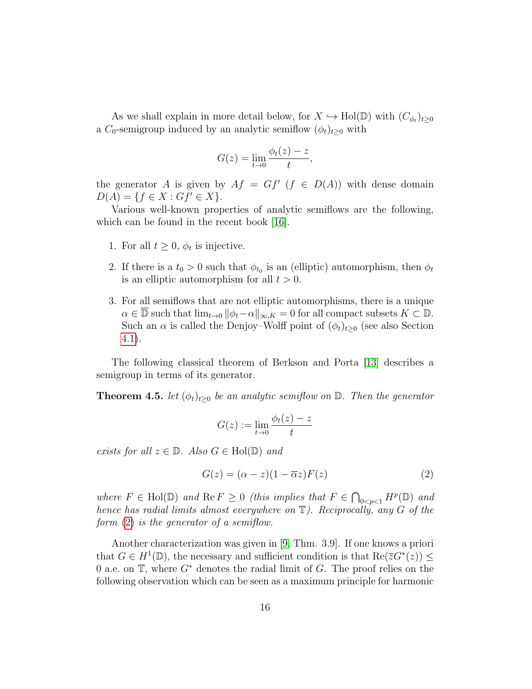As we shall explain in more detail below, for  $X \hookrightarrow Hol(D)$  with  $(C_{\phi_t})_{t \geq 0}$ a C<sub>0</sub>-semigroup induced by an analytic semiflow  $(\phi_t)_{t>0}$  with

$$
G(z) = \lim_{t \to 0} \frac{\phi_t(z) - z}{t},
$$

the generator A is given by  $Af = Gf'(f \in D(A))$  with dense domain  $D(A) = \{f \in X : Gf' \in X\}.$ 

Various well-known properties of analytic semiflows are the following, which can be found in the recent book [\[16\]](#page-30-0).

- 1. For all  $t \geq 0$ ,  $\phi_t$  is injective.
- 2. If there is a  $t_0 > 0$  such that  $\phi_{t_0}$  is an (elliptic) automorphism, then  $\phi_t$ is an elliptic automorphism for all  $t > 0$ .
- 3. For all semiflows that are not elliptic automorphisms, there is a unique  $\alpha \in \overline{\mathbb{D}}$  such that  $\lim_{t\to 0} ||\phi_t-\alpha||_{\infty,K} = 0$  for all compact subsets  $K \subset \mathbb{D}$ . Such an  $\alpha$  is called the Denjoy–Wolff point of  $(\phi_t)_{t>0}$  (see also Section [4.1\)](#page-12-0).

The following classical theorem of Berkson and Porta [\[13\]](#page-30-7) describes a semigroup in terms of its generator.

<span id="page-15-1"></span>**Theorem 4.5.** let  $(\phi_t)_{t\geq 0}$  be an analytic semiflow on  $\mathbb{D}$ . Then the generator

$$
G(z) := \lim_{t \to 0} \frac{\phi_t(z) - z}{t}
$$

exists for all  $z \in \mathbb{D}$ . Also  $G \in Hol(\mathbb{D})$  and

<span id="page-15-0"></span>
$$
G(z) = (\alpha - z)(1 - \overline{\alpha}z)F(z)
$$
\n(2)

where  $F \in Hol(\mathbb{D})$  and  $\text{Re } F \geq 0$  (this implies that  $F \in \bigcap_{0 \leq p \leq 1} H^p(\mathbb{D})$  and hence has radial limits almost everywhere on  $\mathbb{T}$ ). Reciprocally, any G of the form [\(2\)](#page-15-0) is the generator of a semiflow.

Another characterization was given in [\[9,](#page-29-6) Thm. 3.9]. If one knows a priori that  $G \in H^1(\mathbb{D})$ , the necessary and sufficient condition is that  $\text{Re}(\overline{z}G^*(z)) \leq$ 0 a.e. on  $\mathbb{T}$ , where  $G^*$  denotes the radial limit of G. The proof relies on the following observation which can be seen as a maximum principle for harmonic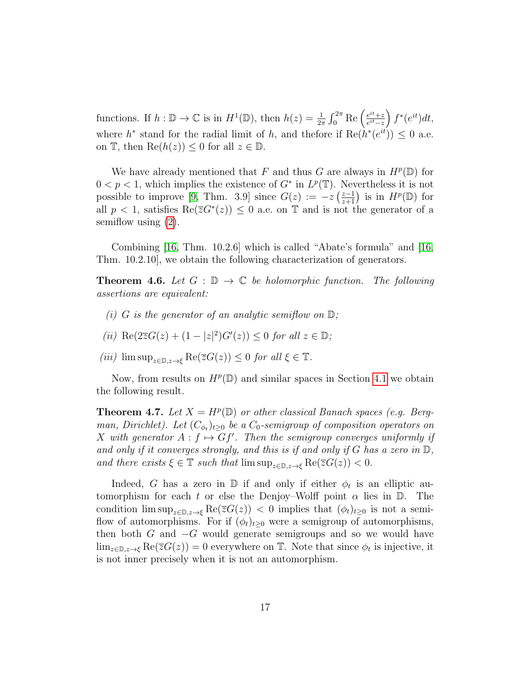functions. If  $h : \mathbb{D} \to \mathbb{C}$  is in  $H^1(\mathbb{D})$ , then  $h(z) = \frac{1}{2\pi} \int_0^{2\pi} \text{Re} \left( \frac{e^{it} + z}{e^{it} - z} \right)$  $\frac{e^{it}+z}{e^{it}-z}\Big)\,f^*(e^{it})dt,$ where  $h^*$  stand for the radial limit of h, and thefore if  $\text{Re}(h^*(e^{it})) \leq 0$  a.e. on  $\mathbb{T}$ , then  $\text{Re}(h(z)) \leq 0$  for all  $z \in \mathbb{D}$ .

We have already mentioned that F and thus G are always in  $H^p(\mathbb{D})$  for  $0 < p < 1$ , which implies the existence of  $G^*$  in  $L^p(\mathbb{T})$ . Nevertheless it is not possible to improve [\[9,](#page-29-6) Thm. 3.9] since  $G(z) := -z \left( \frac{z-1}{z+1} \right)$  is in  $H^p(\mathbb{D})$  for all  $p < 1$ , satisfies  $\text{Re}(\overline{z}G^*(z)) \leq 0$  a.e. on T and is not the generator of a semiflow using [\(2\)](#page-15-0).

Combining [\[16,](#page-30-0) Thm. 10.2.6] which is called "Abate's formula" and [\[16,](#page-30-0) Thm. 10.2.10], we obtain the following characterization of generators.

<span id="page-16-0"></span>**Theorem 4.6.** Let  $G : \mathbb{D} \to \mathbb{C}$  be holomorphic function. The following assertions are equivalent:

- (i) G is the generator of an analytic semiflow on  $\mathbb{D}$ ;
- (*ii*) Re( $2\overline{z}G(z) + (1 |z|^2)G'(z) \leq 0$  for all  $z \in \mathbb{D}$ ;
- (iii)  $\limsup_{z \in \mathbb{D}, z \to \xi} \text{Re}(\overline{z}G(z)) \leq 0$  for all  $\xi \in \mathbb{T}$ .

Now, from results on  $H^p(\mathbb{D})$  and similar spaces in Section [4.1](#page-12-0) we obtain the following result.

**Theorem 4.7.** Let  $X = H^p(\mathbb{D})$  or other classical Banach spaces (e.g. Bergman, Dirichlet). Let  $(C_{\phi_t})_{t\geq 0}$  be a  $C_0$ -semigroup of composition operators on X with generator  $A: f \mapsto Gf'$ . Then the semigroup converges uniformly if and only if it converges strongly, and this is if and only if G has a zero in  $\mathbb{D}$ , and there exists  $\xi \in \mathbb{T}$  such that  $\limsup_{z \in \mathbb{D}, z \to \xi} \text{Re}(\overline{z}G(z)) < 0$ .

Indeed, G has a zero in  $\mathbb D$  if and only if either  $\phi_t$  is an elliptic automorphism for each t or else the Denjoy–Wolff point  $\alpha$  lies in  $\mathbb{D}$ . The condition  $\limsup_{z\in\mathbb{D},z\to\xi}$  Re( $\overline{z}G(z)$ ) < 0 implies that  $(\phi_t)_{t\geq0}$  is not a semiflow of automorphisms. For if  $(\phi_t)_{t>0}$  were a semigroup of automorphisms, then both  $G$  and  $-G$  would generate semigroups and so we would have  $\lim_{z \in \mathbb{D}, z \to \xi} \text{Re}(\overline{z}G(z)) = 0$  everywhere on  $\mathbb{T}$ . Note that since  $\phi_t$  is injective, it is not inner precisely when it is not an automorphism.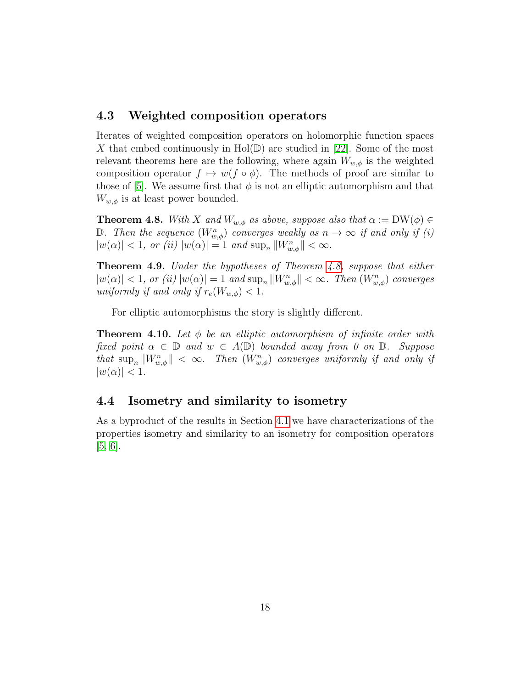#### <span id="page-17-0"></span>4.3 Weighted composition operators

Iterates of weighted composition operators on holomorphic function spaces X that embed continuously in  $Hol(\mathbb{D})$  are studied in [\[22\]](#page-31-7). Some of the most relevant theorems here are the following, where again  $W_{w,\phi}$  is the weighted composition operator  $f \mapsto w(f \circ \phi)$ . The methods of proof are similar to those of [\[5\]](#page-29-4). We assume first that  $\phi$  is not an elliptic automorphism and that  $W_{w,\phi}$  is at least power bounded.

<span id="page-17-2"></span>**Theorem 4.8.** With X and  $W_{w,\phi}$  as above, suppose also that  $\alpha := DW(\phi) \in$ D. Then the sequence  $(W_{w,\phi}^n)$  converges weakly as  $n \to \infty$  if and only if (i)  $|w(\alpha)| < 1$ , or (ii)  $|w(\alpha)| = 1$  and  $\sup_n ||W_{w,\phi}^n|| < \infty$ .

Theorem 4.9. Under the hypotheses of Theorem [4.8,](#page-17-2) suppose that either  $|w(\alpha)| < 1$ , or (ii)  $|w(\alpha)| = 1$  and  $\sup_n ||W_{w,\phi}^n|| < \infty$ . Then  $(W_{w,\phi}^n)$  converges uniformly if and only if  $r_e(W_{w,\phi}) < 1$ .

For elliptic automorphisms the story is slightly different.

**Theorem 4.10.** Let  $\phi$  be an elliptic automorphism of infinite order with fixed point  $\alpha \in \mathbb{D}$  and  $w \in A(\mathbb{D})$  bounded away from 0 on  $\mathbb{D}$ . Suppose that  $\sup_n ||W_{w,\phi}^n|| < \infty$ . Then  $(W_{w,\phi}^n)$  converges uniformly if and only if  $|w(\alpha)| < 1.$ 

#### <span id="page-17-1"></span>4.4 Isometry and similarity to isometry

As a byproduct of the results in Section [4.1](#page-11-1) we have characterizations of the properties isometry and similarity to an isometry for composition operators [\[5,](#page-29-4) [6\]](#page-29-5).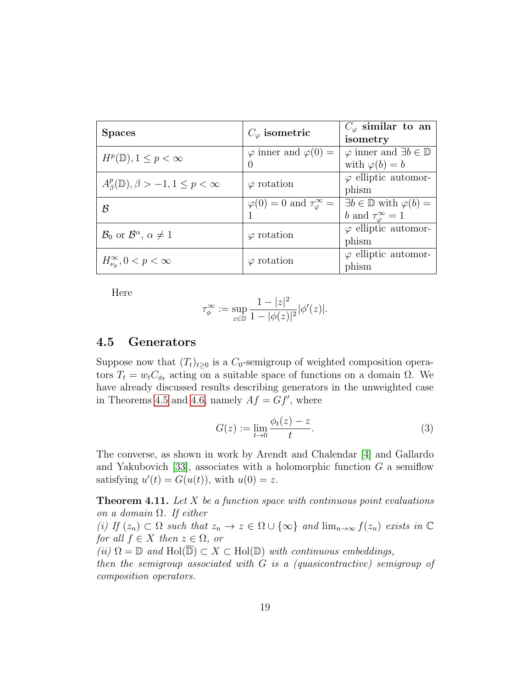| <b>Spaces</b>                                               | $C_{\varphi}$ isometric                            | $C_{\varphi}$ similar to an<br>isometry                                               |
|-------------------------------------------------------------|----------------------------------------------------|---------------------------------------------------------------------------------------|
| $H^p(\mathbb{D}), 1 \leq p < \infty$                        | $\varphi$ inner and $\varphi(0) =$<br>$\mathbf{0}$ | $\varphi$ inner and $\exists b \in \mathbb{D}$<br>with $\varphi(b) = b$               |
| $A_{\beta}^p(\mathbb{D}), \beta > -1, 1 \leq p < \infty$    | $\varphi$ rotation                                 | $\varphi$ elliptic automor-<br>phism                                                  |
| B                                                           | $\varphi(0)=0$ and $\tau_{\varphi}^{\infty}=$      | $\exists b \in \mathbb{D}$ with $\varphi(b) =$<br>b and $\tau_{\varphi}^{\infty} = 1$ |
| $\mathcal{B}_0$ or $\mathcal{B}^{\alpha}$ , $\alpha \neq 1$ | $\varphi$ rotation                                 | $\varphi$ elliptic automor-<br>phism                                                  |
| $H_{\nu_n}^{\infty}, 0 < p < \infty$                        | $\varphi$ rotation                                 | $\varphi$ elliptic automor-<br>phism                                                  |

Here

$$
\tau_{\phi}^{\infty} := \sup_{z \in \mathbb{D}} \frac{1 - |z|^2}{1 - |\phi(z)|^2} |\phi'(z)|.
$$

#### <span id="page-18-0"></span>4.5 Generators

Suppose now that  $(T_t)_{t\geq 0}$  is a  $C_0$ -semigroup of weighted composition operators  $T_t = w_t C_{\phi_t}$  acting on a suitable space of functions on a domain  $\Omega$ . We have already discussed results describing generators in the unweighted case in Theorems [4.5](#page-15-1) and [4.6,](#page-16-0) namely  $Af = Gf'$ , where

<span id="page-18-1"></span>
$$
G(z) := \lim_{t \to 0} \frac{\phi_t(z) - z}{t}.
$$
 (3)

The converse, as shown in work by Arendt and Chalendar [\[4\]](#page-29-7) and Gallardo and Yakubovich [\[33\]](#page-31-8), associates with a holomorphic function  $G$  a semiflow satisfying  $u'(t) = G(u(t))$ , with  $u(0) = z$ .

<span id="page-18-2"></span>**Theorem 4.11.** Let  $X$  be a function space with continuous point evaluations on a domain  $\Omega$ . If either

(i) If  $(z_n) \subset \Omega$  such that  $z_n \to z \in \Omega \cup \{\infty\}$  and  $\lim_{n\to\infty} f(z_n)$  exists in  $\mathbb C$ for all  $f \in X$  then  $z \in \Omega$ , or

(ii)  $\Omega = \mathbb{D}$  and  $\text{Hol}(\overline{\mathbb{D}}) \subset X \subset \text{Hol}(\mathbb{D})$  with continuous embeddings,

then the semigroup associated with G is a (quasicontractive) semigroup of composition operators.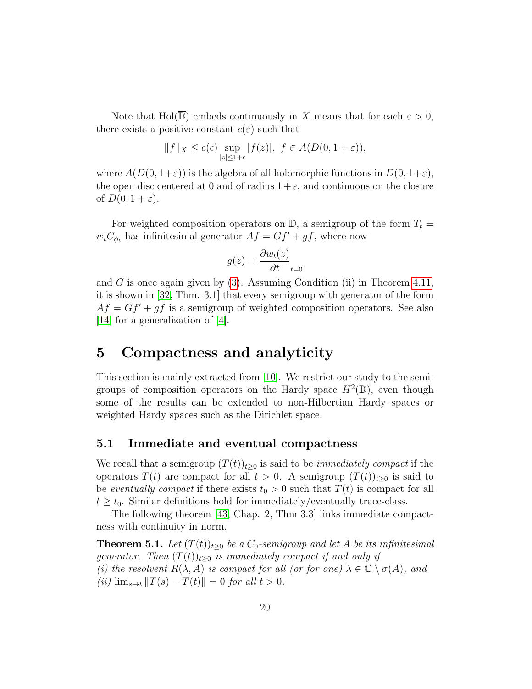Note that Hol( $\mathbb{D}$ ) embeds continuously in X means that for each  $\varepsilon > 0$ , there exists a positive constant  $c(\varepsilon)$  such that

$$
||f||_X \le c(\epsilon) \sup_{|z| \le 1+\epsilon} |f(z)|, \ f \in A(D(0, 1+\epsilon)),
$$

where  $A(D(0, 1+\varepsilon))$  is the algebra of all holomorphic functions in  $D(0, 1+\varepsilon)$ , the open disc centered at 0 and of radius  $1+\varepsilon$ , and continuous on the closure of  $D(0, 1 + \varepsilon)$ .

For weighted composition operators on  $\mathbb{D}$ , a semigroup of the form  $T_t =$  $w_tC_{\phi_t}$  has infinitesimal generator  $Af = Gf' + gf$ , where now

$$
g(z) = \frac{\partial w_t(z)}{\partial t}_{t=0}
$$

and G is once again given by  $(3)$ . Assuming Condition (ii) in Theorem [4.11,](#page-18-2) it is shown in [\[32,](#page-31-2) Thm. 3.1] that every semigroup with generator of the form  $Af = Gf' + gf$  is a semigroup of weighted composition operators. See also [\[14\]](#page-30-8) for a generalization of [\[4\]](#page-29-7).

### <span id="page-19-0"></span>5 Compactness and analyticity

This section is mainly extracted from [\[10\]](#page-29-8). We restrict our study to the semigroups of composition operators on the Hardy space  $H^2(\mathbb{D})$ , even though some of the results can be extended to non-Hilbertian Hardy spaces or weighted Hardy spaces such as the Dirichlet space.

#### <span id="page-19-1"></span>5.1 Immediate and eventual compactness

We recall that a semigroup  $(T(t))_{t>0}$  is said to be *immediately compact* if the operators  $T(t)$  are compact for all  $t > 0$ . A semigroup  $(T(t))_{t \geq 0}$  is said to be eventually compact if there exists  $t_0 > 0$  such that  $T(t)$  is compact for all  $t \geq t_0$ . Similar definitions hold for immediately/eventually trace-class.

The following theorem [\[43,](#page-32-0) Chap. 2, Thm 3.3] links immediate compactness with continuity in norm.

<span id="page-19-2"></span>**Theorem 5.1.** Let  $(T(t))_{t>0}$  be a  $C_0$ -semigroup and let A be its infinitesimal generator. Then  $(T(t))_{t\geq0}$  is immediately compact if and only if (i) the resolvent  $R(\lambda, A)$  is compact for all (or for one)  $\lambda \in \mathbb{C} \setminus \sigma(A)$ , and (*ii*)  $\lim_{s \to t} ||T(s) - T(t)|| = 0$  for all  $t > 0$ .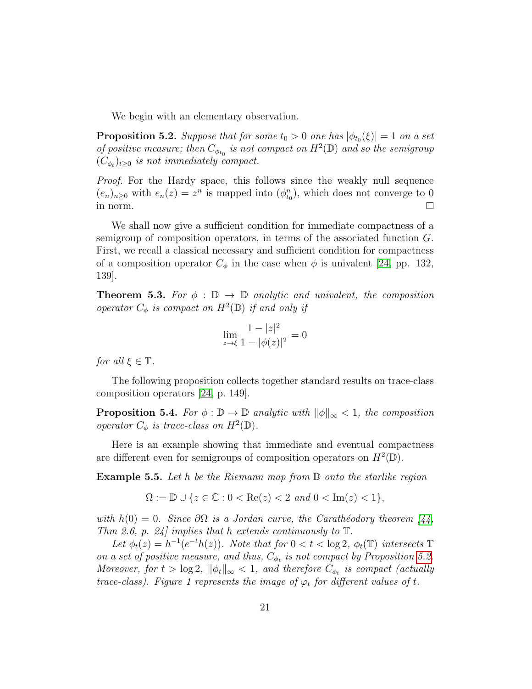We begin with an elementary observation.

<span id="page-20-0"></span>**Proposition 5.2.** Suppose that for some  $t_0 > 0$  one has  $|\phi_{t_0}(\xi)| = 1$  on a set of positive measure; then  $C_{\phi_{t_0}}$  is not compact on  $H^2(\mathbb{D})$  and so the semigroup  $(C_{\phi_t})_{t\geq 0}$  is not immediately compact.

Proof. For the Hardy space, this follows since the weakly null sequence  $(e_n)_{n\geq 0}$  with  $e_n(z) = z^n$  is mapped into  $(\phi_{t_0}^n)$ , which does not converge to 0 in norm.  $\Box$ 

We shall now give a sufficient condition for immediate compactness of a semigroup of composition operators, in terms of the associated function G. First, we recall a classical necessary and sufficient condition for compactness of a composition operator  $C_{\phi}$  in the case when  $\phi$  is univalent [\[24,](#page-31-1) pp. 132, 139].

**Theorem 5.3.** For  $\phi : \mathbb{D} \to \mathbb{D}$  analytic and univalent, the composition operator  $C_{\phi}$  is compact on  $H^2(\mathbb{D})$  if and only if

$$
\lim_{z \to \xi} \frac{1 - |z|^2}{1 - |\phi(z)|^2} = 0
$$

for all  $\xi \in \mathbb{T}$ .

The following proposition collects together standard results on trace-class composition operators [\[24,](#page-31-1) p. 149].

**Proposition 5.4.** For  $\phi : \mathbb{D} \to \mathbb{D}$  analytic with  $\|\phi\|_{\infty} < 1$ , the composition operator  $C_{\phi}$  is trace-class on  $H^2(\mathbb{D})$ .

Here is an example showing that immediate and eventual compactness are different even for semigroups of composition operators on  $H^2(\mathbb{D})$ .

**Example 5.5.** Let h be the Riemann map from  $\mathbb D$  onto the starlike region

 $\Omega := \mathbb{D} \cup \{z \in \mathbb{C} : 0 < \text{Re}(z) < 2 \text{ and } 0 < \text{Im}(z) < 1\},\$ 

with  $h(0) = 0$ . Since  $\partial\Omega$  is a Jordan curve, the Carathéodory theorem [\[44,](#page-32-8) Thm 2.6, p. 24] implies that h extends continuously to  $\mathbb T$ .

Let  $\phi_t(z) = h^{-1}(e^{-t}h(z))$ . Note that for  $0 < t < \log 2$ ,  $\phi_t(\mathbb{T})$  intersects  $\mathbb{T}$ on a set of positive measure, and thus,  $C_{\phi_t}$  is not compact by Proposition [5.2.](#page-20-0) Moreover, for  $t > \log 2$ ,  $\|\phi_t\|_{\infty} < 1$ , and therefore  $C_{\phi_t}$  is compact (actually trace-class). Figure 1 represents the image of  $\varphi_t$  for different values of t.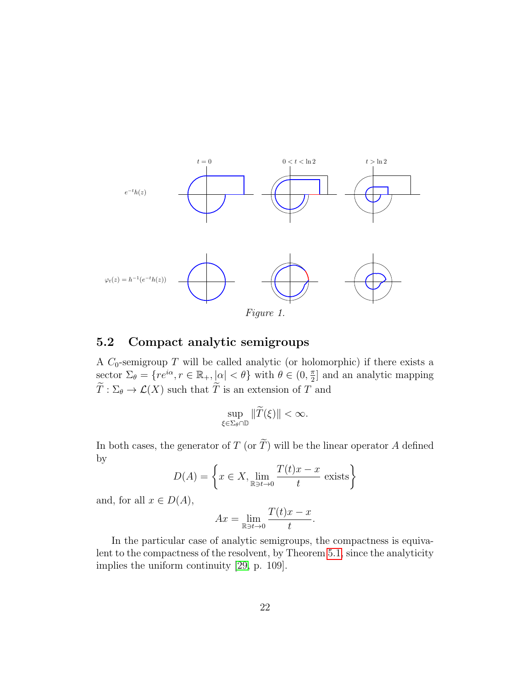

### <span id="page-21-0"></span>5.2 Compact analytic semigroups

A  $C_0$ -semigroup T will be called analytic (or holomorphic) if there exists a sector  $\Sigma_{\theta} = \{ re^{i\alpha}, r \in \mathbb{R}_+, |\alpha| < \theta \}$  with  $\theta \in (0, \frac{\pi}{2})$  $\frac{\pi}{2}$  and an analytic mapping  $\widetilde{T}: \Sigma_{\theta} \to \mathcal{L}(X)$  such that  $\widetilde{T}$  is an extension of T and

$$
\sup_{\xi\in\Sigma_{\theta}\cap\mathbb{D}}\|\widetilde{T}(\xi)\|<\infty.
$$

In both cases, the generator of T (or  $\widetilde{T}$ ) will be the linear operator A defined by

$$
D(A) = \left\{ x \in X, \lim_{\mathbb{R} \to t \to 0} \frac{T(t)x - x}{t} \text{ exists} \right\}
$$

and, for all  $x \in D(A)$ ,

$$
Ax = \lim_{\mathbb{R} \to t \to 0} \frac{T(t)x - x}{t}
$$

.

In the particular case of analytic semigroups, the compactness is equivalent to the compactness of the resolvent, by Theorem [5.1,](#page-19-2) since the analyticity implies the uniform continuity [\[29,](#page-31-0) p. 109].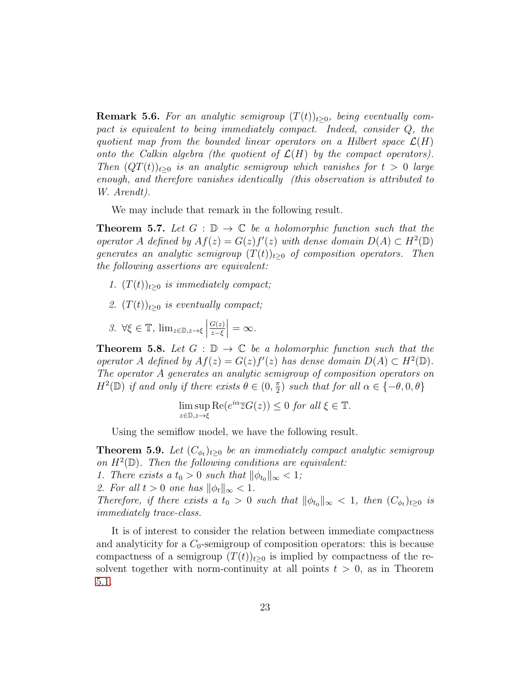**Remark 5.6.** For an analytic semigroup  $(T(t))_{t>0}$ , being eventually compact is equivalent to being immediately compact. Indeed, consider  $Q$ , the quotient map from the bounded linear operators on a Hilbert space  $\mathcal{L}(H)$ onto the Calkin algebra (the quotient of  $\mathcal{L}(H)$  by the compact operators). Then  $(QT(t))_{t>0}$  is an analytic semigroup which vanishes for  $t > 0$  large enough, and therefore vanishes identically (this observation is attributed to W. Arendt).

We may include that remark in the following result.

**Theorem 5.7.** Let  $G : \mathbb{D} \to \mathbb{C}$  be a holomorphic function such that the operator A defined by  $Af(z) = G(z)f'(z)$  with dense domain  $D(A) \subset H^2(\mathbb{D})$ generates an analytic semigroup  $(T(t))_{t\geq0}$  of composition operators. Then the following assertions are equivalent:

- 1.  $(T(t))_{t\geq0}$  is immediately compact;
- 2.  $(T(t))_{t\geq0}$  is eventually compact;
- 3.  $\forall \xi \in \mathbb{T}, \lim_{z \in \mathbb{D}, z \to \xi}$  $G(z)$ z−ξ  $\big| = \infty.$

<span id="page-22-0"></span>**Theorem 5.8.** Let  $G : \mathbb{D} \to \mathbb{C}$  be a holomorphic function such that the operator A defined by  $Af(z) = G(z)f'(z)$  has dense domain  $D(A) \subset H^2(\mathbb{D})$ . The operator A generates an analytic semigroup of composition operators on  $H^2(\mathbb{D})$  if and only if there exists  $\theta \in (0, \frac{\pi}{2})$  $\frac{\pi}{2}$ ) such that for all  $\alpha \in \{-\theta, 0, \theta\}$ 

$$
\limsup_{z \in \mathbb{D}, z \to \xi} \text{Re}(e^{i\alpha} \overline{z}G(z)) \le 0 \text{ for all } \xi \in \mathbb{T}.
$$

Using the semiflow model, we have the following result.

**Theorem 5.9.** Let  $(C_{\phi_t})_{t\geq 0}$  be an immediately compact analytic semigroup on  $H^2(\mathbb{D})$ . Then the following conditions are equivalent:

1. There exists a  $t_0 > 0$  such that  $\|\phi_{t_0}\|_{\infty} < 1$ ;

2. For all  $t > 0$  one has  $\|\phi_t\|_{\infty} < 1$ .

Therefore, if there exists a  $t_0 > 0$  such that  $\|\phi_{t_0}\|_{\infty} < 1$ , then  $(C_{\phi_t})_{t \geq 0}$  is immediately trace-class.

It is of interest to consider the relation between immediate compactness and analyticity for a  $C_0$ -semigroup of composition operators: this is because compactness of a semigroup  $(T(t))_{t\geq0}$  is implied by compactness of the resolvent together with norm-continuity at all points  $t > 0$ , as in Theorem [5.1.](#page-19-2)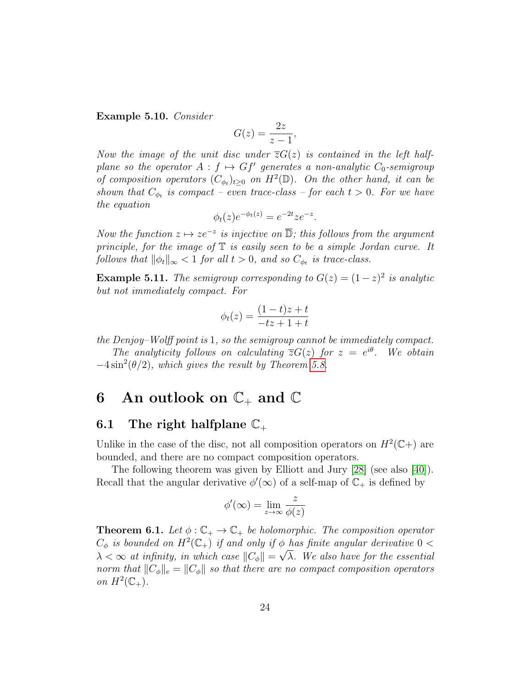Example 5.10. Consider

$$
G(z) = \frac{2z}{z-1},
$$

Now the image of the unit disc under  $\overline{z}G(z)$  is contained in the left halfplane so the operator  $A: f \mapsto Gf'$  generates a non-analytic  $C_0$ -semigroup of composition operators  $(C_{\phi_t})_{t\geq 0}$  on  $H^2(\mathbb{D})$ . On the other hand, it can be shown that  $C_{\phi_t}$  is compact – even trace-class – for each  $t > 0$ . For we have the equation

$$
\phi_t(z)e^{-\phi_t(z)} = e^{-2t}ze^{-z}.
$$

Now the function  $z \mapsto ze^{-z}$  is injective on  $\overline{\mathbb{D}}$ ; this follows from the argument principle, for the image of  $\mathbb T$  is easily seen to be a simple Jordan curve. It follows that  $\|\phi_t\|_{\infty} < 1$  for all  $t > 0$ , and so  $C_{\phi_t}$  is trace-class.

**Example 5.11.** The semigroup corresponding to  $G(z) = (1-z)^2$  is analytic but not immediately compact. For

$$
\phi_t(z) = \frac{(1-t)z + t}{-tz + 1 + t}
$$

the Denjoy–Wolff point is 1, so the semigroup cannot be immediately compact.

The analyticity follows on calculating  $\overline{z}G(z)$  for  $z = e^{i\theta}$ . We obtain  $-4\sin^2(\theta/2)$ , which gives the result by Theorem [5.8.](#page-22-0)

### <span id="page-23-0"></span>6 An outlook on  $\mathbb{C}_+$  and  $\mathbb{C}$

#### <span id="page-23-1"></span>6.1 The right halfplane  $\mathbb{C}_+$

Unlike in the case of the disc, not all composition operators on  $H^2(\mathbb{C})$  are bounded, and there are no compact composition operators.

The following theorem was given by Elliott and Jury [\[28\]](#page-31-9) (see also [\[40\]](#page-32-9)). Recall that the angular derivative  $\phi'(\infty)$  of a self-map of  $\mathbb{C}_+$  is defined by

$$
\phi'(\infty) = \lim_{z \to \infty} \frac{z}{\phi(z)}
$$

**Theorem 6.1.** Let  $\phi : \mathbb{C}_+ \to \mathbb{C}_+$  be holomorphic. The composition operator  $C_{\phi}$  is bounded on  $H^2(\mathbb{C}_+)$  if and only if  $\phi$  has finite angular derivative  $0 <$  $\lambda < \infty$  at infinity, in which case  $||C_{\phi}|| =$  $\varphi$ λ. We also have for the essential norm that  $||C_{\phi}||_e = ||C_{\phi}||$  so that there are no compact composition operators on  $H^2(\mathbb{C}_+)$ .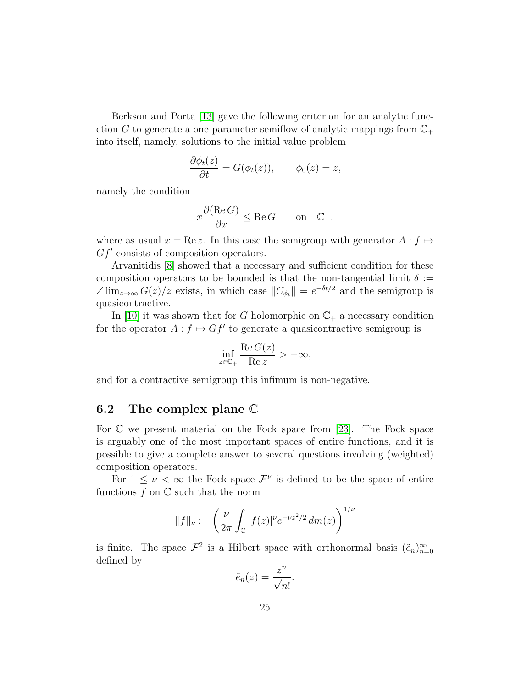Berkson and Porta [\[13\]](#page-30-7) gave the following criterion for an analytic funcction G to generate a one-parameter semiflow of analytic mappings from  $\mathbb{C}_+$ into itself, namely, solutions to the initial value problem

$$
\frac{\partial \phi_t(z)}{\partial t} = G(\phi_t(z)), \qquad \phi_0(z) = z,
$$

namely the condition

$$
x \frac{\partial(\text{Re } G)}{\partial x} \le \text{Re } G \qquad \text{on} \quad \mathbb{C}_+,
$$

where as usual  $x = \text{Re } z$ . In this case the semigroup with generator  $A : f \mapsto z$  $Gf'$  consists of composition operators.

Arvanitidis [\[8\]](#page-29-9) showed that a necessary and sufficient condition for these composition operators to be bounded is that the non-tangential limit  $\delta :=$  $\angle \lim_{z \to \infty} G(z)/z$  exists, in which case  $||C_{\phi_t}|| = e^{-\delta t/2}$  and the semigroup is quasicontractive.

In [\[10\]](#page-29-8) it was shown that for G holomorphic on  $\mathbb{C}_+$  a necessary condition for the operator  $A: f \mapsto Gf'$  to generate a quasicontractive semigroup is

$$
\inf_{z \in \mathbb{C}_+} \frac{\text{Re}\, G(z)}{\text{Re}\, z} > -\infty,
$$

and for a contractive semigroup this infimum is non-negative.

#### <span id="page-24-0"></span>6.2 The complex plane C

For C we present material on the Fock space from [\[23\]](#page-31-10). The Fock space is arguably one of the most important spaces of entire functions, and it is possible to give a complete answer to several questions involving (weighted) composition operators.

For  $1 \leq \nu < \infty$  the Fock space  $\mathcal{F}^{\nu}$  is defined to be the space of entire functions  $f$  on  $\mathbb C$  such that the norm

$$
||f||_{\nu} := \left(\frac{\nu}{2\pi} \int_{\mathbb{C}} |f(z)|^{\nu} e^{-\nu z^2/2} dm(z)\right)^{1/\nu}
$$

is finite. The space  $\mathcal{F}^2$  is a Hilbert space with orthonormal basis  $(\tilde{e}_n)_{n=0}^{\infty}$ defined by

$$
\tilde{e}_n(z) = \frac{z^n}{\sqrt{n!}}.
$$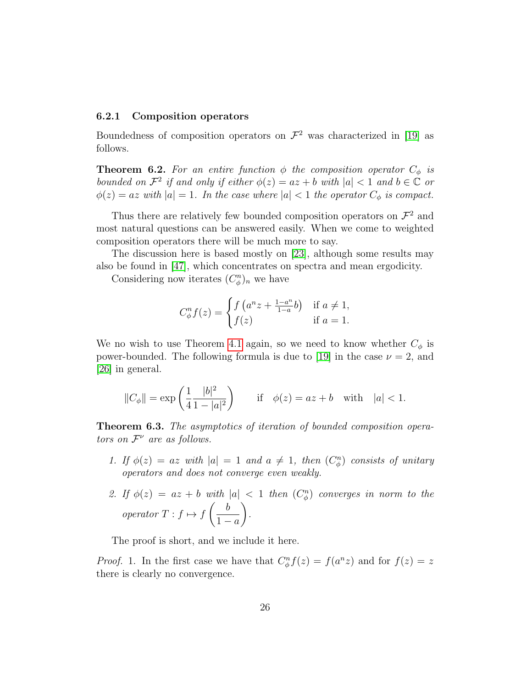#### <span id="page-25-0"></span>6.2.1 Composition operators

Boundedness of composition operators on  $\mathcal{F}^2$  was characterized in [\[19\]](#page-30-9) as follows.

**Theorem 6.2.** For an entire function  $\phi$  the composition operator  $C_{\phi}$  is bounded on  $\mathcal{F}^2$  if and only if either  $\phi(z) = az + b$  with  $|a| < 1$  and  $b \in \mathbb{C}$  or  $\phi(z) = az \ with |a| = 1.$  In the case where  $|a| < 1$  the operator  $C_{\phi}$  is compact.

Thus there are relatively few bounded composition operators on  $\mathcal{F}^2$  and most natural questions can be answered easily. When we come to weighted composition operators there will be much more to say.

The discussion here is based mostly on [\[23\]](#page-31-10), although some results may also be found in [\[47\]](#page-33-2), which concentrates on spectra and mean ergodicity.

Considering now iterates  $(C_{\phi}^n)_n$  we have

$$
C_{\phi}^{n}f(z) = \begin{cases} f\left(a^{n}z + \frac{1-a^{n}}{1-a}b\right) & \text{if } a \neq 1, \\ f(z) & \text{if } a = 1. \end{cases}
$$

We no wish to use Theorem [4.1](#page-11-2) again, so we need to know whether  $C_{\phi}$  is power-bounded. The following formula is due to [\[19\]](#page-30-9) in the case  $\nu = 2$ , and [\[26\]](#page-31-11) in general.

$$
||C_{\phi}|| = \exp\left(\frac{1}{4} \frac{|b|^2}{1-|a|^2}\right)
$$
 if  $\phi(z) = az + b$  with  $|a| < 1$ .

Theorem 6.3. The asymptotics of iteration of bounded composition operators on  $\mathcal{F}^{\nu}$  are as follows.

- 1. If  $\phi(z) = az$  with  $|a| = 1$  and  $a \neq 1$ , then  $(C_{\phi}^{n})$  consists of unitary operators and does not converge even weakly.
- 2. If  $\phi(z) = az + b$  with  $|a| < 1$  then  $(C_{\phi}^{n})$  converges in norm to the operator  $T : f \mapsto f$  $\begin{pmatrix} b \end{pmatrix}$  $1 - a$  $\setminus$ .

The proof is short, and we include it here.

*Proof.* 1. In the first case we have that  $C_{\phi}^{n} f(z) = f(a^{n} z)$  and for  $f(z) = z$ there is clearly no convergence.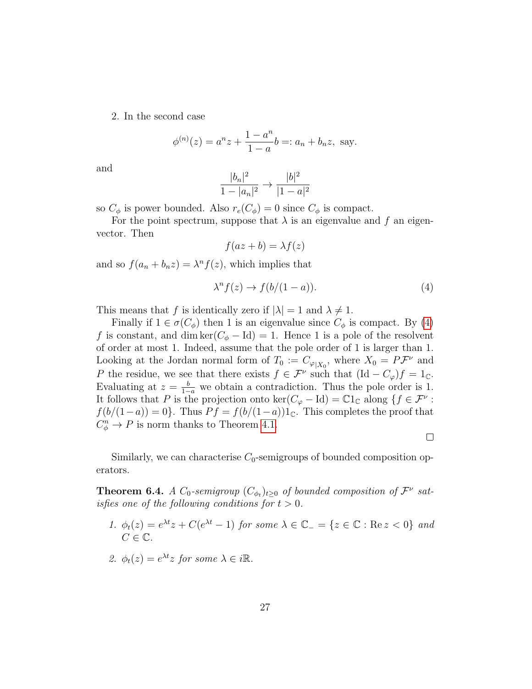2. In the second case

$$
\phi^{(n)}(z) = a^n z + \frac{1 - a^n}{1 - a} b =: a_n + b_n z
$$
, say.

and

$$
\frac{|b_n|^2}{1-|a_n|^2} \to \frac{|b|^2}{|1-a|^2}
$$

so  $C_{\phi}$  is power bounded. Also  $r_e(C_{\phi}) = 0$  since  $C_{\phi}$  is compact.

For the point spectrum, suppose that  $\lambda$  is an eigenvalue and f an eigenvector. Then

$$
f(az+b) = \lambda f(z)
$$

and so  $f(a_n + b_n z) = \lambda^n f(z)$ , which implies that

<span id="page-26-0"></span>
$$
\lambda^n f(z) \to f(b/(1-a)). \tag{4}
$$

This means that f is identically zero if  $|\lambda| = 1$  and  $\lambda \neq 1$ .

Finally if  $1 \in \sigma(C_{\phi})$  then 1 is an eigenvalue since  $C_{\phi}$  is compact. By [\(4\)](#page-26-0) f is constant, and dim ker( $C_{\phi} - \text{Id}$ ) = 1. Hence 1 is a pole of the resolvent of order at most 1. Indeed, assume that the pole order of 1 is larger than 1. Looking at the Jordan normal form of  $T_0 := C_{\varphi|X_0}$ , where  $X_0 = P\mathcal{F}^{\nu}$  and P the residue, we see that there exists  $f \in \mathcal{F}^{\nu}$  such that  $(\text{Id} - C_{\varphi})f = 1_{\mathbb{C}}$ . Evaluating at  $z = \frac{b}{1-a}$  we obtain a contradiction. Thus the pole order is 1. It follows that P is the projection onto  $\ker(C_{\varphi} - \text{Id}) = \mathbb{C}1_{\mathbb{C}}$  along  $\{f \in \mathcal{F}^{\nu}$ :  $f(b/(1-a)) = 0$ . Thus  $Pf = f(b/(1-a))1_{\mathbb{C}}$ . This completes the proof that  $C_{\phi}^n \to P$  is norm thanks to Theorem [4.1.](#page-11-2)

 $\Box$ 

Similarly, we can characterise  $C_0$ -semigroups of bounded composition operators.

**Theorem 6.4.** A  $C_0$ -semigroup  $(C_{\phi_t})_{t\geq 0}$  of bounded composition of  $\mathcal{F}^{\nu}$  satisfies one of the following conditions for  $t > 0$ .

- 1.  $\phi_t(z) = e^{\lambda t}z + C(e^{\lambda t} 1)$  for some  $\lambda \in \mathbb{C}_- = \{z \in \mathbb{C} : \text{Re } z < 0\}$  and  $C \in \mathbb{C}$ .
- 2.  $\phi_t(z) = e^{\lambda t} z$  for some  $\lambda \in i\mathbb{R}$ .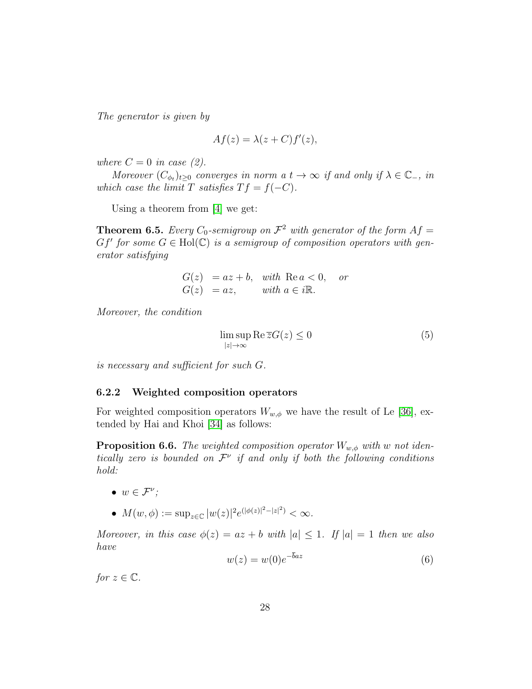The generator is given by

$$
Af(z) = \lambda(z + C)f'(z),
$$

where  $C = 0$  in case (2).

Moreover  $(C_{\phi_t})_{t\geq0}$  converges in norm a  $t\to\infty$  if and only if  $\lambda\in\mathbb{C}_-$ , in which case the limit T satisfies  $T f = f(-C)$ .

Using a theorem from [\[4\]](#page-29-7) we get:

**Theorem 6.5.** Every  $C_0$ -semigroup on  $\mathcal{F}^2$  with generator of the form  $Af =$  $Gf'$  for some  $G \in Hol(C)$  is a semigroup of composition operators with generator satisfying

$$
G(z) = az + b, \quad with \quad \text{Re } a < 0, \quad \text{or} \\ G(z) = az, \quad \text{with } a \in i\mathbb{R}.
$$

Moreover, the condition

$$
\limsup_{|z| \to \infty} \text{Re}\,\overline{z}G(z) \le 0\tag{5}
$$

is necessary and sufficient for such G.

#### <span id="page-27-0"></span>6.2.2 Weighted composition operators

For weighted composition operators  $W_{w,\phi}$  we have the result of Le [\[36\]](#page-32-10), extended by Hai and Khoi [\[34\]](#page-32-11) as follows:

**Proposition 6.6.** The weighted composition operator  $W_{w,\phi}$  with w not identically zero is bounded on  $\mathcal{F}^{\nu}$  if and only if both the following conditions hold:

- $w \in \mathcal{F}^{\nu}$ ;
- $M(w, \phi) := \sup_{z \in \mathbb{C}} |w(z)|^2 e^{(|\phi(z)|^2 |z|^2)} < \infty.$

Moreover, in this case  $\phi(z) = az + b$  with  $|a| \leq 1$ . If  $|a| = 1$  then we also have

$$
w(z) = w(0)e^{-baz} \tag{6}
$$

for  $z \in \mathbb{C}$ .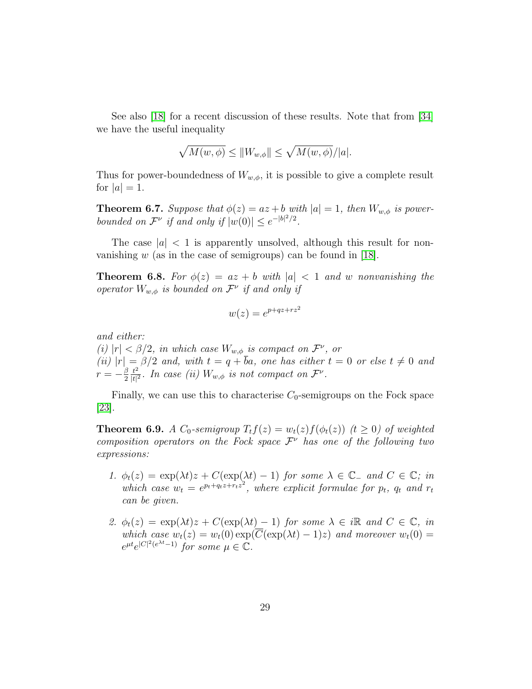See also [\[18\]](#page-30-10) for a recent discussion of these results. Note that from [\[34\]](#page-32-11) we have the useful inequality

$$
\sqrt{M(w,\phi)} \le \|W_{w,\phi}\| \le \sqrt{M(w,\phi)}/|a|.
$$

Thus for power-boundedness of  $W_{w,\phi}$ , it is possible to give a complete result for  $|a|=1$ .

**Theorem 6.7.** Suppose that  $\phi(z) = az + b$  with  $|a| = 1$ , then  $W_{w,\phi}$  is powerbounded on  $\mathcal{F}^{\nu}$  if and only if  $|w(0)| \leq e^{-|b|^2/2}$ .

The case  $|a| < 1$  is apparently unsolved, although this result for nonvanishing  $w$  (as in the case of semigroups) can be found in [\[18\]](#page-30-10).

**Theorem 6.8.** For  $\phi(z) = az + b$  with  $|a| < 1$  and w nonvanishing the operator  $W_{w,\phi}$  is bounded on  $\mathcal{F}^{\nu}$  if and only if

$$
w(z) = e^{p+qz+rz^2}
$$

and either:

(i)  $|r| < \beta/2$ , in which case  $W_{w,\phi}$  is compact on  $\mathcal{F}^{\nu}$ , or (ii)  $|r| = \beta/2$  and, with  $t = q + ba$ , one has either  $t = 0$  or else  $t \neq 0$  and  $r=-\frac{\beta}{2}$ 2  $t^2$  $\frac{t^2}{|t|^2}$ . In case (ii)  $W_{w,\phi}$  is not compact on  $\mathcal{F}^{\nu}$ .

Finally, we can use this to characterise  $C_0$ -semigroups on the Fock space [\[23\]](#page-31-10).

**Theorem 6.9.** A  $C_0$ -semigroup  $T_t f(z) = w_t(z) f(\phi_t(z))$  ( $t \geq 0$ ) of weighted composition operators on the Fock space  $\mathcal{F}^{\nu}$  has one of the following two expressions:

- 1.  $\phi_t(z) = \exp(\lambda t)z + C(\exp(\lambda t) 1)$  for some  $\lambda \in \mathbb{C}_-$  and  $C \in \mathbb{C}$ ; in which case  $w_t = e^{p_t+q_t z+r_t z^2}$ , where explicit formulae for  $p_t$ ,  $q_t$  and  $r_t$ can be given.
- 2.  $\phi_t(z) = \exp(\lambda t)z + C(\exp(\lambda t) 1)$  for some  $\lambda \in i\mathbb{R}$  and  $C \in \mathbb{C}$ , in which case  $w_t(z) = w_t(0) \exp(\overline{C}(\exp(\lambda t) - 1)z)$  and moreover  $w_t(0) =$  $e^{\mu t}e^{|C|^2(e^{\lambda t}-1)}$  for some  $\mu \in \mathbb{C}$ .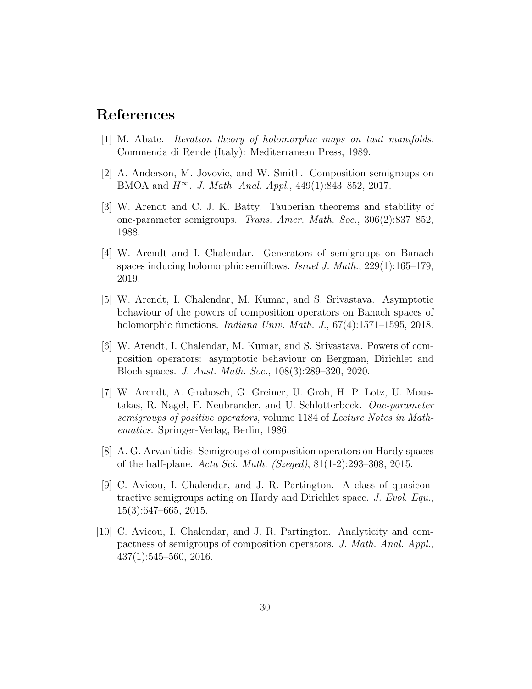### References

- <span id="page-29-0"></span>[1] M. Abate. Iteration theory of holomorphic maps on taut manifolds. Commenda di Rende (Italy): Mediterranean Press, 1989.
- <span id="page-29-1"></span>[2] A. Anderson, M. Jovovic, and W. Smith. Composition semigroups on BMOA and  $H^{\infty}$ . J. Math. Anal. Appl., 449(1):843–852, 2017.
- <span id="page-29-3"></span>[3] W. Arendt and C. J. K. Batty. Tauberian theorems and stability of one-parameter semigroups. Trans. Amer. Math. Soc., 306(2):837–852, 1988.
- <span id="page-29-7"></span>[4] W. Arendt and I. Chalendar. Generators of semigroups on Banach spaces inducing holomorphic semiflows. Israel J. Math., 229(1):165–179, 2019.
- <span id="page-29-4"></span>[5] W. Arendt, I. Chalendar, M. Kumar, and S. Srivastava. Asymptotic behaviour of the powers of composition operators on Banach spaces of holomorphic functions. *Indiana Univ. Math. J.*, 67(4):1571–1595, 2018.
- <span id="page-29-5"></span>[6] W. Arendt, I. Chalendar, M. Kumar, and S. Srivastava. Powers of composition operators: asymptotic behaviour on Bergman, Dirichlet and Bloch spaces. J. Aust. Math. Soc., 108(3):289–320, 2020.
- <span id="page-29-2"></span>[7] W. Arendt, A. Grabosch, G. Greiner, U. Groh, H. P. Lotz, U. Moustakas, R. Nagel, F. Neubrander, and U. Schlotterbeck. One-parameter semigroups of positive operators, volume 1184 of Lecture Notes in Mathematics. Springer-Verlag, Berlin, 1986.
- <span id="page-29-9"></span>[8] A. G. Arvanitidis. Semigroups of composition operators on Hardy spaces of the half-plane. Acta Sci. Math. (Szeged), 81(1-2):293–308, 2015.
- <span id="page-29-6"></span>[9] C. Avicou, I. Chalendar, and J. R. Partington. A class of quasicontractive semigroups acting on Hardy and Dirichlet space. J. Evol. Equ., 15(3):647–665, 2015.
- <span id="page-29-8"></span>[10] C. Avicou, I. Chalendar, and J. R. Partington. Analyticity and compactness of semigroups of composition operators. J. Math. Anal. Appl., 437(1):545–560, 2016.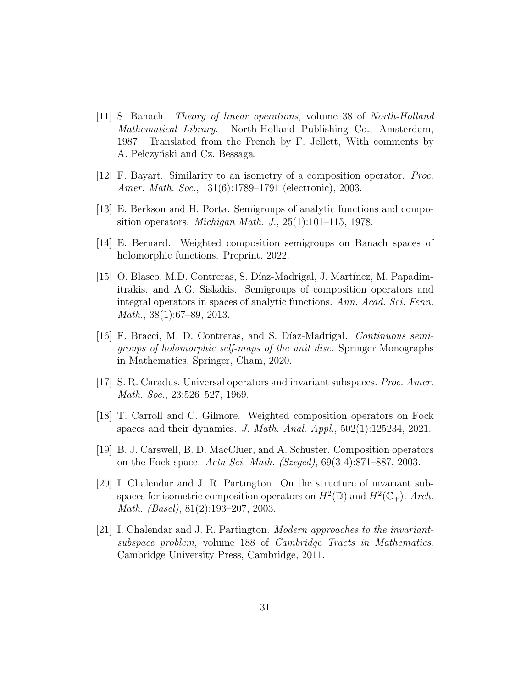- <span id="page-30-4"></span>[11] S. Banach. Theory of linear operations, volume 38 of North-Holland Mathematical Library. North-Holland Publishing Co., Amsterdam, 1987. Translated from the French by F. Jellett, With comments by A. Pełczyński and Cz. Bessaga.
- <span id="page-30-6"></span>[12] F. Bayart. Similarity to an isometry of a composition operator. Proc. Amer. Math. Soc., 131(6):1789–1791 (electronic), 2003.
- <span id="page-30-7"></span>[13] E. Berkson and H. Porta. Semigroups of analytic functions and composition operators. Michigan Math. J., 25(1):101–115, 1978.
- <span id="page-30-8"></span>[14] E. Bernard. Weighted composition semigroups on Banach spaces of holomorphic functions. Preprint, 2022.
- <span id="page-30-1"></span>[15] O. Blasco, M.D. Contreras, S. Díaz-Madrigal, J. Martínez, M. Papadimitrakis, and A.G. Siskakis. Semigroups of composition operators and integral operators in spaces of analytic functions. Ann. Acad. Sci. Fenn. Math., 38(1):67–89, 2013.
- <span id="page-30-0"></span>[16] F. Bracci, M. D. Contreras, and S. Díaz-Madrigal. *Continuous semi*groups of holomorphic self-maps of the unit disc. Springer Monographs in Mathematics. Springer, Cham, 2020.
- <span id="page-30-3"></span>[17] S. R. Caradus. Universal operators and invariant subspaces. Proc. Amer. Math. Soc., 23:526–527, 1969.
- <span id="page-30-10"></span>[18] T. Carroll and C. Gilmore. Weighted composition operators on Fock spaces and their dynamics. J. Math. Anal. Appl.,  $502(1):125234$ ,  $2021$ .
- <span id="page-30-9"></span>[19] B. J. Carswell, B. D. MacCluer, and A. Schuster. Composition operators on the Fock space. Acta Sci. Math. (Szeged), 69(3-4):871–887, 2003.
- <span id="page-30-5"></span>[20] I. Chalendar and J. R. Partington. On the structure of invariant subspaces for isometric composition operators on  $H^2(\mathbb{D})$  and  $H^2(\mathbb{C}_+)$ . Arch. Math. (Basel), 81(2):193–207, 2003.
- <span id="page-30-2"></span>[21] I. Chalendar and J. R. Partington. Modern approaches to the invariantsubspace problem, volume 188 of Cambridge Tracts in Mathematics. Cambridge University Press, Cambridge, 2011.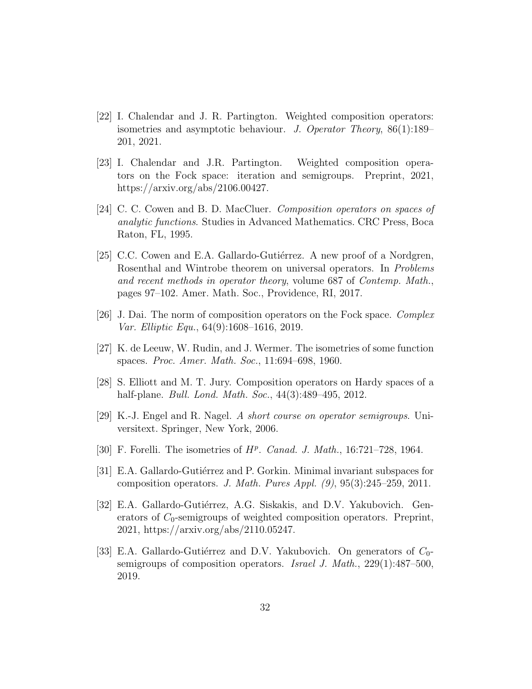- <span id="page-31-7"></span>[22] I. Chalendar and J. R. Partington. Weighted composition operators: isometries and asymptotic behaviour. J. Operator Theory, 86(1):189– 201, 2021.
- <span id="page-31-10"></span>[23] I. Chalendar and J.R. Partington. Weighted composition operators on the Fock space: iteration and semigroups. Preprint, 2021, https://arxiv.org/abs/2106.00427.
- <span id="page-31-1"></span>[24] C. C. Cowen and B. D. MacCluer. Composition operators on spaces of analytic functions. Studies in Advanced Mathematics. CRC Press, Boca Raton, FL, 1995.
- <span id="page-31-3"></span>[25] C.C. Cowen and E.A. Gallardo-Gutiérrez. A new proof of a Nordgren, Rosenthal and Wintrobe theorem on universal operators. In Problems and recent methods in operator theory, volume 687 of Contemp. Math., pages 97–102. Amer. Math. Soc., Providence, RI, 2017.
- <span id="page-31-11"></span>[26] J. Dai. The norm of composition operators on the Fock space. Complex Var. Elliptic Equ., 64(9):1608–1616, 2019.
- <span id="page-31-5"></span>[27] K. de Leeuw, W. Rudin, and J. Wermer. The isometries of some function spaces. Proc. Amer. Math. Soc., 11:694–698, 1960.
- <span id="page-31-9"></span>[28] S. Elliott and M. T. Jury. Composition operators on Hardy spaces of a half-plane. *Bull. Lond. Math. Soc.*, 44(3):489–495, 2012.
- <span id="page-31-0"></span>[29] K.-J. Engel and R. Nagel. A short course on operator semigroups. Universitext. Springer, New York, 2006.
- <span id="page-31-6"></span>[30] F. Forelli. The isometries of  $H^p$ . Canad. J. Math., 16:721-728, 1964.
- <span id="page-31-4"></span>[31] E.A. Gallardo-Gutiérrez and P. Gorkin. Minimal invariant subspaces for composition operators. J. Math. Pures Appl.  $(9)$ ,  $95(3):245-259$ , 2011.
- <span id="page-31-2"></span>[32] E.A. Gallardo-Gutiérrez, A.G. Siskakis, and D.V. Yakubovich. Generators of  $C_0$ -semigroups of weighted composition operators. Preprint, 2021, https://arxiv.org/abs/2110.05247.
- <span id="page-31-8"></span>[33] E.A. Gallardo-Gutiérrez and D.V. Yakubovich. On generators of  $C_0$ semigroups of composition operators. Israel J. Math., 229(1):487–500, 2019.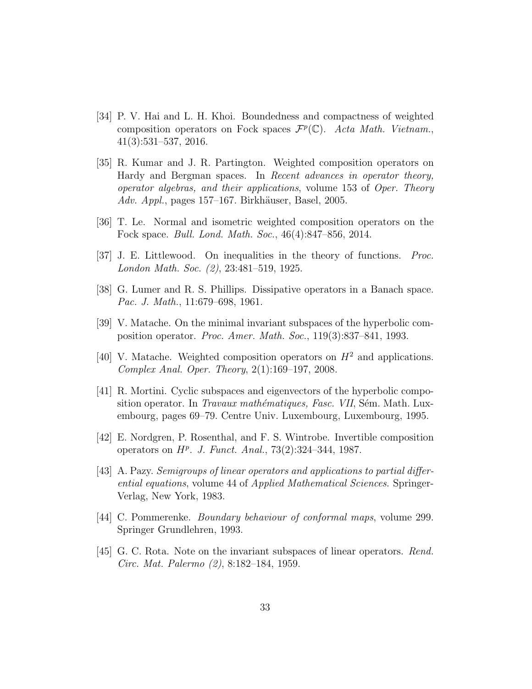- <span id="page-32-11"></span>[34] P. V. Hai and L. H. Khoi. Boundedness and compactness of weighted composition operators on Fock spaces  $\mathcal{F}^p(\mathbb{C})$ . Acta Math. Vietnam., 41(3):531–537, 2016.
- <span id="page-32-7"></span>[35] R. Kumar and J. R. Partington. Weighted composition operators on Hardy and Bergman spaces. In Recent advances in operator theory, operator algebras, and their applications, volume 153 of Oper. Theory Adv. Appl., pages  $157-167$ . Birkhäuser, Basel, 2005.
- <span id="page-32-10"></span>[36] T. Le. Normal and isometric weighted composition operators on the Fock space. Bull. Lond. Math. Soc., 46(4):847–856, 2014.
- <span id="page-32-2"></span>[37] J. E. Littlewood. On inequalities in the theory of functions. Proc. London Math. Soc. (2), 23:481–519, 1925.
- <span id="page-32-1"></span>[38] G. Lumer and R. S. Phillips. Dissipative operators in a Banach space. Pac. J. Math., 11:679–698, 1961.
- <span id="page-32-5"></span>[39] V. Matache. On the minimal invariant subspaces of the hyperbolic composition operator. Proc. Amer. Math. Soc., 119(3):837–841, 1993.
- <span id="page-32-9"></span>[40] V. Matache. Weighted composition operators on  $H^2$  and applications. Complex Anal. Oper. Theory, 2(1):169–197, 2008.
- <span id="page-32-6"></span>[41] R. Mortini. Cyclic subspaces and eigenvectors of the hyperbolic composition operator. In *Travaux mathématiques, Fasc. VII*, Sém. Math. Luxembourg, pages 69–79. Centre Univ. Luxembourg, Luxembourg, 1995.
- <span id="page-32-4"></span>[42] E. Nordgren, P. Rosenthal, and F. S. Wintrobe. Invertible composition operators on  $H^p$ . J. Funct. Anal., 73(2):324-344, 1987.
- <span id="page-32-0"></span>[43] A. Pazy. Semigroups of linear operators and applications to partial differential equations, volume 44 of Applied Mathematical Sciences. Springer-Verlag, New York, 1983.
- <span id="page-32-8"></span>[44] C. Pommerenke. Boundary behaviour of conformal maps, volume 299. Springer Grundlehren, 1993.
- <span id="page-32-3"></span>[45] G. C. Rota. Note on the invariant subspaces of linear operators. Rend. Circ. Mat. Palermo (2), 8:182–184, 1959.